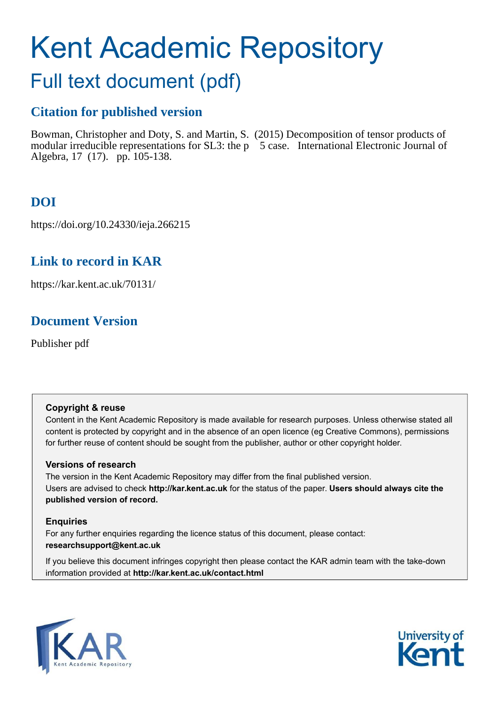# Kent Academic Repository

## Full text document (pdf)

## **Citation for published version**

Bowman, Christopher and Doty, S. and Martin, S. (2015) Decomposition of tensor products of modular irreducible representations for SL3: the p 5 case. International Electronic Journal of Algebra, 17 (17). pp. 105-138.

## **DOI**

https://doi.org/10.24330/ieja.266215

## **Link to record in KAR**

https://kar.kent.ac.uk/70131/

## **Document Version**

Publisher pdf

#### **Copyright & reuse**

Content in the Kent Academic Repository is made available for research purposes. Unless otherwise stated all content is protected by copyright and in the absence of an open licence (eg Creative Commons), permissions for further reuse of content should be sought from the publisher, author or other copyright holder.

#### **Versions of research**

The version in the Kent Academic Repository may differ from the final published version. Users are advised to check **http://kar.kent.ac.uk** for the status of the paper. **Users should always cite the published version of record.**

#### **Enquiries**

For any further enquiries regarding the licence status of this document, please contact: **researchsupport@kent.ac.uk**

If you believe this document infringes copyright then please contact the KAR admin team with the take-down information provided at **http://kar.kent.ac.uk/contact.html**



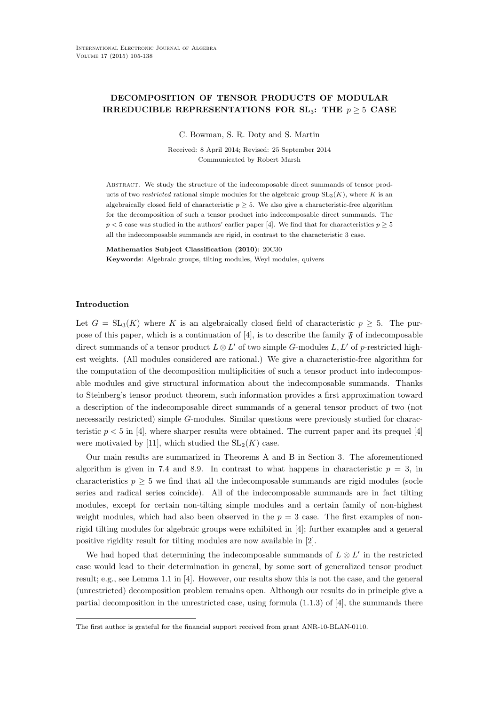#### DECOMPOSITION OF TENSOR PRODUCTS OF MODULAR IRREDUCIBLE REPRESENTATIONS FOR  $SL_3$ : THE  $p > 5$  CASE

C. Bowman, S. R. Doty and S. Martin

Received: 8 April 2014; Revised: 25 September 2014 Communicated by Robert Marsh

Abstract. We study the structure of the indecomposable direct summands of tensor products of two restricted rational simple modules for the algebraic group  $SL_3(K)$ , where K is an algebraically closed field of characteristic  $p \geq 5$ . We also give a characteristic-free algorithm for the decomposition of such a tensor product into indecomposable direct summands. The  $p < 5$  case was studied in the authors' earlier paper [4]. We find that for characteristics  $p \geq 5$ all the indecomposable summands are rigid, in contrast to the characteristic 3 case.

Mathematics Subject Classification (2010): 20C30 Keywords: Algebraic groups, tilting modules, Weyl modules, quivers

#### Introduction

Let  $G = SL_3(K)$  where K is an algebraically closed field of characteristic  $p \geq 5$ . The purpose of this paper, which is a continuation of [4], is to describe the family  $\mathfrak{F}$  of indecomposable direct summands of a tensor product  $L \otimes L'$  of two simple G-modules  $L, L'$  of p-restricted highest weights. (All modules considered are rational.) We give a characteristic-free algorithm for the computation of the decomposition multiplicities of such a tensor product into indecomposable modules and give structural information about the indecomposable summands. Thanks to Steinberg's tensor product theorem, such information provides a first approximation toward a description of the indecomposable direct summands of a general tensor product of two (not necessarily restricted) simple G-modules. Similar questions were previously studied for characteristic  $p < 5$  in [4], where sharper results were obtained. The current paper and its prequel [4] were motivated by [11], which studied the  $SL_2(K)$  case.

Our main results are summarized in Theorems A and B in Section 3. The aforementioned algorithm is given in 7.4 and 8.9. In contrast to what happens in characteristic  $p = 3$ , in characteristics  $p \geq 5$  we find that all the indecomposable summands are rigid modules (socle series and radical series coincide). All of the indecomposable summands are in fact tilting modules, except for certain non-tilting simple modules and a certain family of non-highest weight modules, which had also been observed in the  $p = 3$  case. The first examples of nonrigid tilting modules for algebraic groups were exhibited in [4]; further examples and a general positive rigidity result for tilting modules are now available in [2].

We had hoped that determining the indecomposable summands of  $L \otimes L'$  in the restricted case would lead to their determination in general, by some sort of generalized tensor product result; e.g., see Lemma 1.1 in [4]. However, our results show this is not the case, and the general (unrestricted) decomposition problem remains open. Although our results do in principle give a partial decomposition in the unrestricted case, using formula  $(1.1.3)$  of  $[4]$ , the summands there

The first author is grateful for the financial support received from grant ANR-10-BLAN-0110.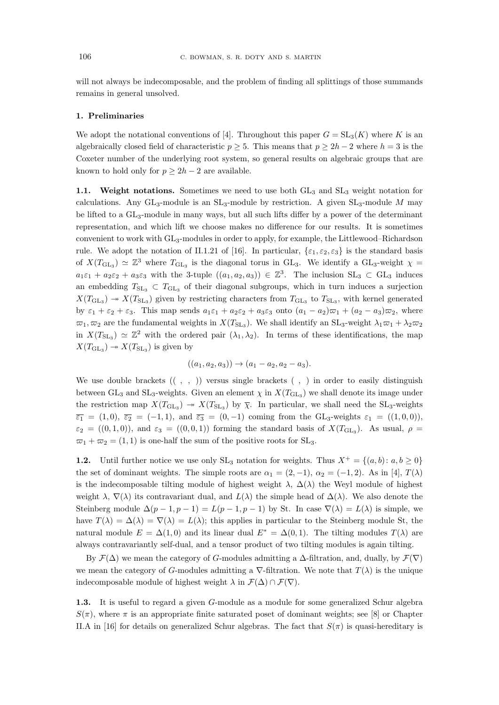will not always be indecomposable, and the problem of finding all splittings of those summands remains in general unsolved.

#### 1. Preliminaries

We adopt the notational conventions of [4]. Throughout this paper  $G = SL_3(K)$  where K is an algebraically closed field of characteristic  $p \geq 5$ . This means that  $p \geq 2h-2$  where  $h=3$  is the Coxeter number of the underlying root system, so general results on algebraic groups that are known to hold only for  $p > 2h - 2$  are available.

1.1. Weight notations. Sometimes we need to use both  $GL_3$  and  $SL_3$  weight notation for calculations. Any  $GL_3$ -module is an  $SL_3$ -module by restriction. A given  $SL_3$ -module M may be lifted to a GL<sub>3</sub>-module in many ways, but all such lifts differ by a power of the determinant representation, and which lift we choose makes no difference for our results. It is sometimes convenient to work with GL3-modules in order to apply, for example, the Littlewood–Richardson rule. We adopt the notation of II.1.21 of [16]. In particular,  $\{\varepsilon_1, \varepsilon_2, \varepsilon_3\}$  is the standard basis of  $X(T_{\text{GL}_3}) \simeq \mathbb{Z}^3$  where  $T_{\text{GL}_3}$  is the diagonal torus in GL<sub>3</sub>. We identify a GL<sub>3</sub>-weight  $\chi$  $a_1\varepsilon_1 + a_2\varepsilon_2 + a_3\varepsilon_3$  with the 3-tuple  $((a_1, a_2, a_3)) \in \mathbb{Z}^3$ . The inclusion  $SL_3 \subset GL_3$  induces an embedding  $T_{\rm SL_3} \subset T_{\rm GL_3}$  of their diagonal subgroups, which in turn induces a surjection  $X(T_{\text{GL}_3}) \rightarrow X(T_{\text{SL}_3})$  given by restricting characters from  $T_{\text{GL}_3}$  to  $T_{\text{SL}_3}$ , with kernel generated by  $\varepsilon_1 + \varepsilon_2 + \varepsilon_3$ . This map sends  $a_1 \varepsilon_1 + a_2 \varepsilon_2 + a_3 \varepsilon_3$  onto  $(a_1 - a_2)\varpi_1 + (a_2 - a_3)\varpi_2$ , where  $\varpi_1, \varpi_2$  are the fundamental weights in  $X(T_{\rm SL_3})$ . We shall identify an  $SL_3$ -weight  $\lambda_1\varpi_1 + \lambda_2\varpi_2$ in  $X(T_{\rm SL_3}) \simeq \mathbb{Z}^2$  with the ordered pair  $(\lambda_1, \lambda_2)$ . In terms of these identifications, the map  $X(T_{\mathrm{GL}_3}) \rightarrow X(T_{\mathrm{SL}_3})$  is given by

$$
((a_1, a_2, a_3)) \to (a_1 - a_2, a_2 - a_3).
$$

We use double brackets  $((, , ))$  versus single brackets  $( , )$  in order to easily distinguish between  $GL_3$  and  $SL_3$ -weights. Given an element  $\chi$  in  $X(T_{GL_3})$  we shall denote its image under the restriction map  $X(T_{GL_3}) \to X(T_{SL_3})$  by  $\bar{\chi}$ . In particular, we shall need the SL<sub>3</sub>-weights  $\overline{\varepsilon_1}$  = (1,0),  $\overline{\varepsilon_2}$  = (-1,1), and  $\overline{\varepsilon_3}$  = (0, -1) coming from the GL<sub>3</sub>-weights  $\varepsilon_1$  = ((1,0,0)),  $\varepsilon_2 = ((0,1,0))$ , and  $\varepsilon_3 = ((0,0,1))$  forming the standard basis of  $X(T_{GL_3})$ . As usual,  $\rho =$  $\overline{\omega}_1 + \overline{\omega}_2 = (1, 1)$  is one-half the sum of the positive roots for SL<sub>3</sub>.

1.2. Until further notice we use only  $SL_3$  notation for weights. Thus  $X^+ = \{(a, b): a, b \ge 0\}$ the set of dominant weights. The simple roots are  $\alpha_1 = (2, -1)$ ,  $\alpha_2 = (-1, 2)$ . As in [4],  $T(\lambda)$ is the indecomposable tilting module of highest weight  $\lambda$ ,  $\Delta(\lambda)$  the Weyl module of highest weight  $\lambda$ ,  $\nabla(\lambda)$  its contravariant dual, and  $L(\lambda)$  the simple head of  $\Delta(\lambda)$ . We also denote the Steinberg module  $\Delta(p-1, p-1) = L(p-1, p-1)$  by St. In case  $\nabla(\lambda) = L(\lambda)$  is simple, we have  $T(\lambda) = \Delta(\lambda) = \nabla(\lambda) = L(\lambda)$ ; this applies in particular to the Steinberg module St, the natural module  $E = \Delta(1,0)$  and its linear dual  $E^* = \Delta(0,1)$ . The tilting modules  $T(\lambda)$  are always contravariantly self-dual, and a tensor product of two tilting modules is again tilting.

By  $\mathcal{F}(\Delta)$  we mean the category of G-modules admitting a  $\Delta$ -filtration, and, dually, by  $\mathcal{F}(\nabla)$ we mean the category of G-modules admitting a  $\nabla$ -filtration. We note that  $T(\lambda)$  is the unique indecomposable module of highest weight  $\lambda$  in  $\mathcal{F}(\Delta) \cap \mathcal{F}(\nabla)$ .

1.3. It is useful to regard a given G-module as a module for some generalized Schur algebra  $S(\pi)$ , where  $\pi$  is an appropriate finite saturated poset of dominant weights; see [8] or Chapter II.A in [16] for details on generalized Schur algebras. The fact that  $S(\pi)$  is quasi-hereditary is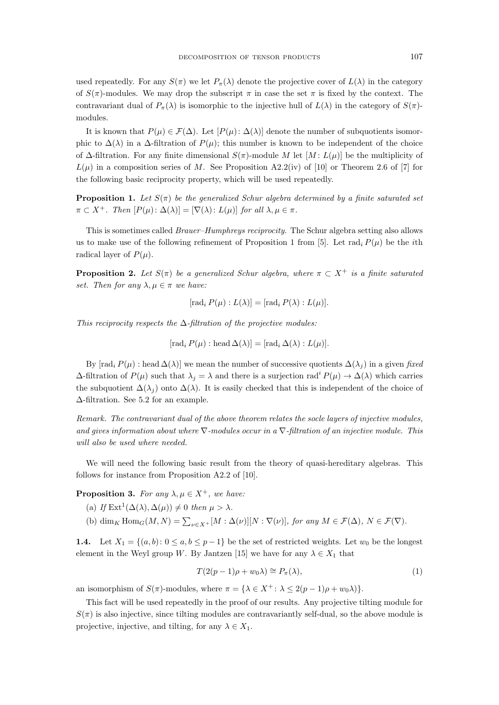used repeatedly. For any  $S(\pi)$  we let  $P_{\pi}(\lambda)$  denote the projective cover of  $L(\lambda)$  in the category of  $S(\pi)$ -modules. We may drop the subscript  $\pi$  in case the set  $\pi$  is fixed by the context. The contravariant dual of  $P_{\pi}(\lambda)$  is isomorphic to the injective hull of  $L(\lambda)$  in the category of  $S(\pi)$ modules.

It is known that  $P(\mu) \in \mathcal{F}(\Delta)$ . Let  $[P(\mu): \Delta(\lambda)]$  denote the number of subquotients isomorphic to  $\Delta(\lambda)$  in a  $\Delta$ -filtration of  $P(\mu)$ ; this number is known to be independent of the choice of  $\Delta$ -filtration. For any finite dimensional  $S(\pi)$ -module M let  $[M: L(\mu)]$  be the multiplicity of  $L(\mu)$  in a composition series of M. See Proposition A2.2(iv) of [10] or Theorem 2.6 of [7] for the following basic reciprocity property, which will be used repeatedly.

**Proposition 1.** Let  $S(\pi)$  be the generalized Schur algebra determined by a finite saturated set  $\pi \subset X^+$ *. Then*  $[P(\mu): \Delta(\lambda)] = [\nabla(\lambda): L(\mu)]$  *for all*  $\lambda, \mu \in \pi$ *.* 

This is sometimes called *Brauer–Humphreys reciprocity*. The Schur algebra setting also allows us to make use of the following refinement of Proposition 1 from [5]. Let rad<sub>i</sub>  $P(\mu)$  be the *i*th radical layer of  $P(\mu)$ .

**Proposition 2.** Let  $S(\pi)$  be a generalized Schur algebra, where  $\pi \subset X^+$  is a finite saturated *set. Then for any*  $\lambda, \mu \in \pi$  *we have:* 

$$
[\operatorname{rad}_i P(\mu) : L(\lambda)] = [\operatorname{rad}_i P(\lambda) : L(\mu)].
$$

*This reciprocity respects the* ∆*-filtration of the projective modules:*

 $[\text{rad}_i P(\mu) : \text{head }\Delta(\lambda)] = [\text{rad}_i \Delta(\lambda) : L(\mu)].$ 

By  $[\text{rad}_i P(\mu) : \text{head } \Delta(\lambda)]$  we mean the number of successive quotients  $\Delta(\lambda_i)$  in a given *fixed*  $\Delta$ -filtration of  $P(\mu)$  such that  $\lambda_j = \lambda$  and there is a surjection rad<sup>i</sup>  $P(\mu) \to \Delta(\lambda)$  which carries the subquotient  $\Delta(\lambda_i)$  onto  $\Delta(\lambda)$ . It is easily checked that this is independent of the choice of ∆-filtration. See 5.2 for an example.

*Remark. The contravariant dual of the above theorem relates the socle layers of injective modules, and gives information about where* ∇*-modules occur in a* ∇*-filtration of an injective module. This will also be used where needed.*

We will need the following basic result from the theory of quasi-hereditary algebras. This follows for instance from Proposition A2.2 of [10].

**Proposition 3.** For any  $\lambda, \mu \in X^+$ , we have:

- (a) If  $\text{Ext}^1(\Delta(\lambda), \Delta(\mu)) \neq 0$  then  $\mu > \lambda$ .
- (b)  $\dim_K \text{Hom}_G(M, N) = \sum_{\nu \in X^+} [M : \Delta(\nu)][N : \nabla(\nu)],$  for any  $M \in \mathcal{F}(\Delta)$ ,  $N \in \mathcal{F}(\nabla)$ *.*

1.4. Let  $X_1 = \{(a, b): 0 \le a, b \le p-1\}$  be the set of restricted weights. Let  $w_0$  be the longest element in the Weyl group W. By Jantzen [15] we have for any  $\lambda \in X_1$  that

$$
T(2(p-1)\rho + w_0\lambda) \cong P_\pi(\lambda),\tag{1}
$$

an isomorphism of  $S(\pi)$ -modules, where  $\pi = {\lambda \in X^+ : \lambda \leq 2(p-1)\rho + w_0\lambda}$ .

This fact will be used repeatedly in the proof of our results. Any projective tilting module for  $S(\pi)$  is also injective, since tilting modules are contravariantly self-dual, so the above module is projective, injective, and tilting, for any  $\lambda \in X_1$ .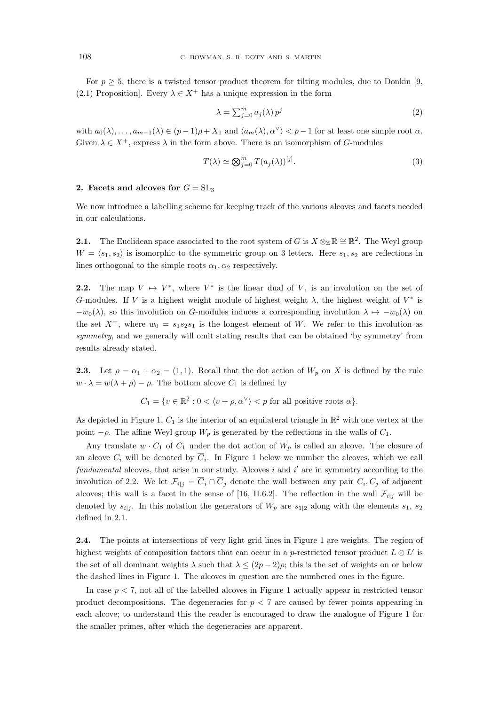For  $p > 5$ , there is a twisted tensor product theorem for tilting modules, due to Donkin [9, (2.1) Proposition]. Every  $\lambda \in X^+$  has a unique expression in the form

$$
\lambda = \sum_{j=0}^{m} a_j(\lambda) p^j \tag{2}
$$

with  $a_0(\lambda), \ldots, a_{m-1}(\lambda) \in (p-1)\rho + X_1$  and  $\langle a_m(\lambda), \alpha^\vee \rangle < p-1$  for at least one simple root  $\alpha$ . Given  $\lambda \in X^+$ , express  $\lambda$  in the form above. There is an isomorphism of G-modules

$$
T(\lambda) \simeq \bigotimes_{j=0}^{m} T(a_j(\lambda))^{[j]}.
$$
\n(3)

#### 2. Facets and alcoves for  $G = SL_3$

We now introduce a labelling scheme for keeping track of the various alcoves and facets needed in our calculations.

**2.1.** The Euclidean space associated to the root system of G is  $X \otimes_{\mathbb{Z}} \mathbb{R} \cong \mathbb{R}^2$ . The Weyl group  $W = \langle s_1, s_2 \rangle$  is isomorphic to the symmetric group on 3 letters. Here  $s_1, s_2$  are reflections in lines orthogonal to the simple roots  $\alpha_1, \alpha_2$  respectively.

**2.2.** The map  $V \rightarrow V^*$ , where  $V^*$  is the linear dual of V, is an involution on the set of G-modules. If V is a highest weight module of highest weight  $\lambda$ , the highest weight of  $V^*$  is  $-w_0(\lambda)$ , so this involution on G-modules induces a corresponding involution  $\lambda \mapsto -w_0(\lambda)$  on the set  $X^+$ , where  $w_0 = s_1 s_2 s_1$  is the longest element of W. We refer to this involution as *symmetry*, and we generally will omit stating results that can be obtained 'by symmetry' from results already stated.

**2.3.** Let  $\rho = \alpha_1 + \alpha_2 = (1, 1)$ . Recall that the dot action of  $W_p$  on X is defined by the rule  $w \cdot \lambda = w(\lambda + \rho) - \rho$ . The bottom alcove  $C_1$  is defined by

$$
C_1 = \{ v \in \mathbb{R}^2 : 0 < \langle v + \rho, \alpha^\vee \rangle < p \text{ for all positive roots } \alpha \}.
$$

As depicted in Figure 1,  $C_1$  is the interior of an equilateral triangle in  $\mathbb{R}^2$  with one vertex at the point  $-\rho$ . The affine Weyl group  $W_p$  is generated by the reflections in the walls of  $C_1$ .

Any translate  $w \cdot C_1$  of  $C_1$  under the dot action of  $W_p$  is called an alcove. The closure of an alcove  $C_i$  will be denoted by  $C_i$ . In Figure 1 below we number the alcoves, which we call fundamental alcoves, that arise in our study. Alcoves i and i' are in symmetry according to the involution of 2.2. We let  $\mathcal{F}_{i|j} = C_i \cap C_j$  denote the wall between any pair  $C_i, C_j$  of adjacent alcoves; this wall is a facet in the sense of [16, II.6.2]. The reflection in the wall  $\mathcal{F}_{i|j}$  will be denoted by  $s_{i|j}$ . In this notation the generators of  $W_p$  are  $s_{1|2}$  along with the elements  $s_1, s_2$ defined in 2.1.

2.4. The points at intersections of very light grid lines in Figure 1 are weights. The region of highest weights of composition factors that can occur in a p-restricted tensor product  $L \otimes L'$  is the set of all dominant weights  $\lambda$  such that  $\lambda \leq (2p-2)\rho$ ; this is the set of weights on or below the dashed lines in Figure 1. The alcoves in question are the numbered ones in the figure.

In case  $p < 7$ , not all of the labelled alcoves in Figure 1 actually appear in restricted tensor product decompositions. The degeneracies for  $p < 7$  are caused by fewer points appearing in each alcove; to understand this the reader is encouraged to draw the analogue of Figure 1 for the smaller primes, after which the degeneracies are apparent.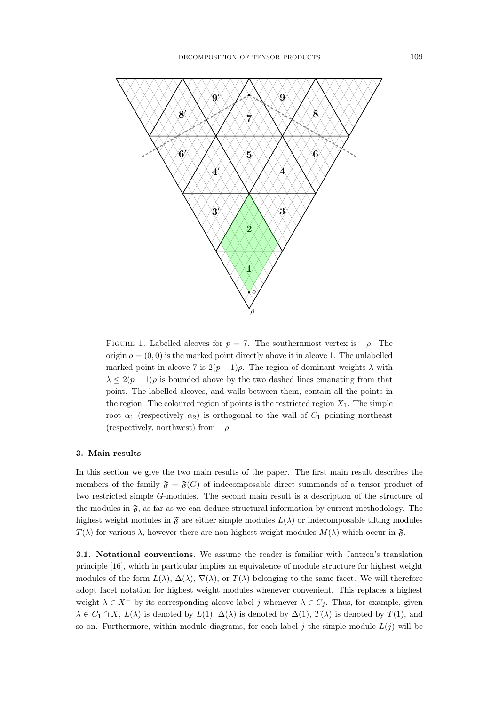

FIGURE 1. Labelled alcoves for  $p = 7$ . The southernmost vertex is  $-\rho$ . The origin  $o = (0, 0)$  is the marked point directly above it in alcove 1. The unlabelled marked point in alcove 7 is  $2(p-1)\rho$ . The region of dominant weights  $\lambda$  with  $\lambda \leq 2(p-1)\rho$  is bounded above by the two dashed lines emanating from that point. The labelled alcoves, and walls between them, contain all the points in the region. The coloured region of points is the restricted region  $X_1$ . The simple root  $\alpha_1$  (respectively  $\alpha_2$ ) is orthogonal to the wall of  $C_1$  pointing northeast (respectively, northwest) from  $-\rho$ .

#### 3. Main results

In this section we give the two main results of the paper. The first main result describes the members of the family  $\mathfrak{F} = \mathfrak{F}(G)$  of indecomposable direct summands of a tensor product of two restricted simple G-modules. The second main result is a description of the structure of the modules in  $\mathfrak{F}$ , as far as we can deduce structural information by current methodology. The highest weight modules in  $\mathfrak F$  are either simple modules  $L(\lambda)$  or indecomposable tilting modules  $T(\lambda)$  for various  $\lambda$ , however there are non highest weight modules  $M(\lambda)$  which occur in  $\mathfrak{F}$ .

3.1. Notational conventions. We assume the reader is familiar with Jantzen's translation principle [16], which in particular implies an equivalence of module structure for highest weight modules of the form  $L(\lambda)$ ,  $\Delta(\lambda)$ ,  $\nabla(\lambda)$ , or  $T(\lambda)$  belonging to the same facet. We will therefore adopt facet notation for highest weight modules whenever convenient. This replaces a highest weight  $\lambda \in X^+$  by its corresponding alcove label j whenever  $\lambda \in C_j$ . Thus, for example, given  $\lambda \in C_1 \cap X$ ,  $L(\lambda)$  is denoted by  $L(1)$ ,  $\Delta(\lambda)$  is denoted by  $\Delta(1)$ ,  $T(\lambda)$  is denoted by  $T(1)$ , and so on. Furthermore, within module diagrams, for each label j the simple module  $L(j)$  will be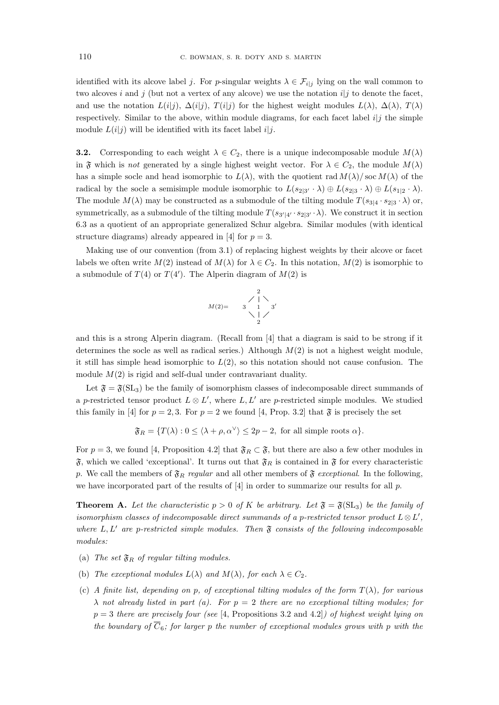identified with its alcove label j. For p-singular weights  $\lambda \in \mathcal{F}_{i,j}$  lying on the wall common to two alcoves i and j (but not a vertex of any alcove) we use the notation  $i|j$  to denote the facet, and use the notation  $L(i|j)$ ,  $\Delta(i|j)$ ,  $T(i|j)$  for the highest weight modules  $L(\lambda)$ ,  $\Delta(\lambda)$ ,  $T(\lambda)$ respectively. Similar to the above, within module diagrams, for each facet label  $i|j$  the simple module  $L(i|j)$  will be identified with its facet label  $i|j$ .

**3.2.** Corresponding to each weight  $\lambda \in C_2$ , there is a unique indecomposable module  $M(\lambda)$ in  $\mathfrak F$  which is *not* generated by a single highest weight vector. For  $\lambda \in C_2$ , the module  $M(\lambda)$ has a simple socle and head isomorphic to  $L(\lambda)$ , with the quotient rad  $M(\lambda)/\text{soc }M(\lambda)$  of the radical by the socle a semisimple module isomorphic to  $L(s_{2|3'} \cdot \lambda) \oplus L(s_{2|3} \cdot \lambda) \oplus L(s_{1|2} \cdot \lambda)$ . The module  $M(\lambda)$  may be constructed as a submodule of the tilting module  $T(s_{3|4} \cdot s_{2|3} \cdot \lambda)$  or, symmetrically, as a submodule of the tilting module  $T(s_{3'|4'} \cdot s_{2|3'} \cdot \lambda)$ . We construct it in section 6.3 as a quotient of an appropriate generalized Schur algebra. Similar modules (with identical structure diagrams) already appeared in [4] for  $p = 3$ .

Making use of our convention (from 3.1) of replacing highest weights by their alcove or facet labels we often write  $M(2)$  instead of  $M(\lambda)$  for  $\lambda \in C_2$ . In this notation,  $M(2)$  is isomorphic to a submodule of  $T(4)$  or  $T(4')$ . The Alperin diagram of  $M(2)$  is

$$
M(2)=\begin{array}{c}2\\2\\3\\1\\2\end{array}
$$

and this is a strong Alperin diagram. (Recall from [4] that a diagram is said to be strong if it determines the socle as well as radical series.) Although  $M(2)$  is not a highest weight module. it still has simple head isomorphic to  $L(2)$ , so this notation should not cause confusion. The module  $M(2)$  is rigid and self-dual under contravariant duality.

Let  $\mathfrak{F} = \mathfrak{F}(\mathrm{SL}_3)$  be the family of isomorphism classes of indecomposable direct summands of a p-restricted tensor product  $L \otimes L'$ , where  $L, L'$  are p-restricted simple modules. We studied this family in [4] for  $p = 2, 3$ . For  $p = 2$  we found [4, Prop. 3.2] that  $\mathfrak{F}$  is precisely the set

$$
\mathfrak{F}_R = \{ T(\lambda) : 0 \le \langle \lambda + \rho, \alpha^{\vee} \rangle \le 2p - 2, \text{ for all simple roots } \alpha \}.
$$

For  $p = 3$ , we found [4, Proposition 4.2] that  $\mathfrak{F}_R \subset \mathfrak{F}$ , but there are also a few other modules in  $\mathfrak{F}$ , which we called 'exceptional'. It turns out that  $\mathfrak{F}_R$  is contained in  $\mathfrak{F}$  for every characteristic p. We call the members of  $\mathfrak{F}_R$  *regular* and all other members of  $\mathfrak{F}$  *exceptional*. In the following, we have incorporated part of the results of  $[4]$  in order to summarize our results for all p.

**Theorem A.** Let the characteristic  $p > 0$  of K be arbitrary. Let  $\mathfrak{F} = \mathfrak{F}(\mathrm{SL}_3)$  be the family of *isomorphism classes of indecomposable direct summands of a p-restricted tensor product*  $L \otimes L'$ , *where* L, L′ *are* p*-restricted simple modules. Then* F *consists of the following indecomposable modules:*

- (a) The set  $\mathfrak{F}_R$  of regular tilting modules.
- (b) *The exceptional modules*  $L(\lambda)$  *and*  $M(\lambda)$ *, for each*  $\lambda \in C_2$ *.*
- (c) *A finite list, depending on* p*, of exceptional tilting modules of the form* T(λ)*, for various* λ *not already listed in part (a). For* p = 2 *there are no exceptional tilting modules; for* p = 3 *there are precisely four (see* [4, Propositions 3.2 and 4.2]*) of highest weight lying on the boundary of*  $\overline{C}_6$ *; for larger* p *the number of exceptional modules grows with* p *with the*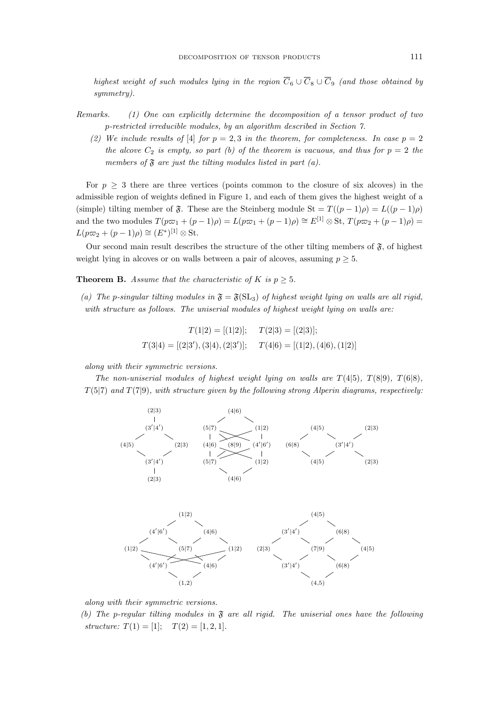*highest weight of such modules lying in the region*  $\overline{C}_6 \cup \overline{C}_8 \cup \overline{C}_9$  *(and those obtained by symmetry).*

- *Remarks. (1) One can explicitly determine the decomposition of a tensor product of two* p*-restricted irreducible modules, by an algorithm described in Section 7.*
	- (2) We include results of [4] *for*  $p = 2, 3$  *in the theorem, for completeness. In case*  $p = 2$ *the alcove*  $C_2$  *is empty, so part (b) of the theorem is vacuous, and thus for*  $p = 2$  *the members of*  $\mathfrak F$  *are just the tilting modules listed in part (a).*

For  $p \geq 3$  there are three vertices (points common to the closure of six alcoves) in the admissible region of weights defined in Figure 1, and each of them gives the highest weight of a (simple) tilting member of  $\mathfrak{F}$ . These are the Steinberg module  $St = T((p-1)\rho) = L((p-1)\rho)$ and the two modules  $T(p\varpi_1 + (p-1)\rho) = L(p\varpi_1 + (p-1)\rho) \cong E^{[1]} \otimes$  St,  $T(p\varpi_2 + (p-1)\rho) =$  $L(p\varpi_2 + (p-1)\rho) \cong (E^*)^{[1]} \otimes \text{St}.$ 

Our second main result describes the structure of the other tilting members of  $\mathfrak{F}$ , of highest weight lying in alcoves or on walls between a pair of alcoves, assuming  $p \geq 5$ .

**Theorem B.** Assume that the characteristic of K is  $p \geq 5$ .

(a) The p-singular tilting modules in  $\mathfrak{F} = \mathfrak{F}(\mathrm{SL}_3)$  of highest weight lying on walls are all rigid, *with structure as follows. The uniserial modules of highest weight lying on walls are:*

$$
T(1|2) = [(1|2)]; \t T(2|3) = [(2|3)];
$$
  

$$
T(3|4) = [(2|3'), (3|4), (2|3')]; \t T(4|6) = [(1|2), (4|6), (1|2)]
$$

*along with their symmetric versions.*

*The non-uniserial modules of highest weight lying on walls are*  $T(4|5)$ *,*  $T(8|9)$ *,*  $T(6|8)$ *,* T(5|7) *and* T(7|9)*, with structure given by the following strong Alperin diagrams, respectively:*



*along with their symmetric versions.*

*(b) The* p*-regular tilting modules in* F *are all rigid. The uniserial ones have the following structure:*  $T(1) = [1];$   $T(2) = [1, 2, 1].$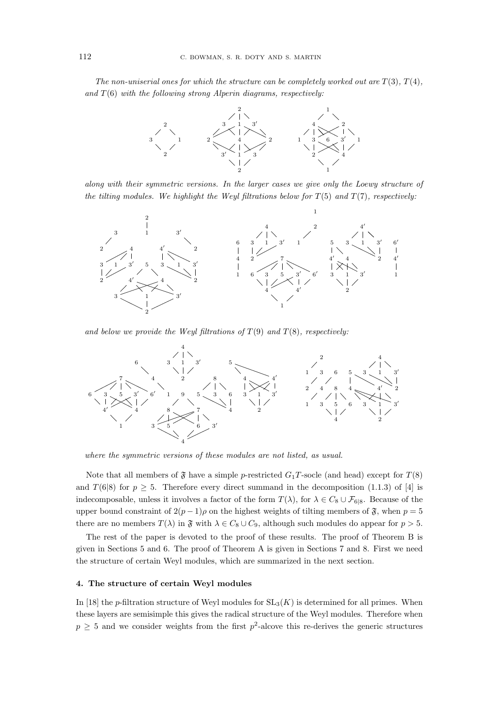*The non-uniserial ones for which the structure can be completely worked out are*  $T(3)$ *,*  $T(4)$ *, and* T(6) *with the following strong Alperin diagrams, respectively:*



*along with their symmetric versions. In the larger cases we give only the Loewy structure of the tilting modules. We highlight the Weyl filtrations below for* T(5) *and* T(7)*, respectively:*



and below we provide the Weyl filtrations of  $T(9)$  and  $T(8)$ , respectively:



*where the symmetric versions of these modules are not listed, as usual.*

Note that all members of  $\mathfrak F$  have a simple p-restricted  $G_1T$ -socle (and head) except for  $T(8)$ and  $T(6|8)$  for  $p \ge 5$ . Therefore every direct summand in the decomposition (1.1.3) of [4] is indecomposable, unless it involves a factor of the form  $T(\lambda)$ , for  $\lambda \in C_8 \cup \mathcal{F}_{6|8}$ . Because of the upper bound constraint of  $2(p-1)\rho$  on the highest weights of tilting members of  $\mathfrak{F}$ , when  $p=5$ there are no members  $T(\lambda)$  in  $\mathfrak{F}$  with  $\lambda \in C_8 \cup C_9$ , although such modules do appear for  $p > 5$ .

The rest of the paper is devoted to the proof of these results. The proof of Theorem B is given in Sections 5 and 6. The proof of Theorem A is given in Sections 7 and 8. First we need the structure of certain Weyl modules, which are summarized in the next section.

#### 4. The structure of certain Weyl modules

In [18] the p-filtration structure of Weyl modules for  $SL_3(K)$  is determined for all primes. When these layers are semisimple this gives the radical structure of the Weyl modules. Therefore when  $p \geq 5$  and we consider weights from the first  $p^2$ -alcove this re-derives the generic structures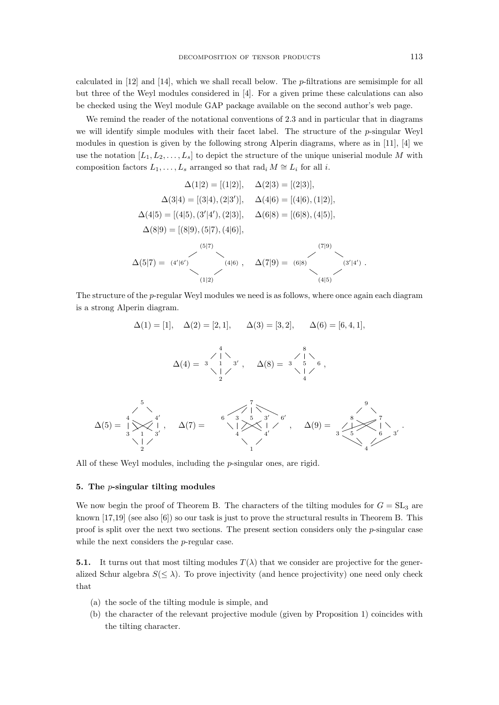calculated in [12] and [14], which we shall recall below. The p-filtrations are semisimple for all but three of the Weyl modules considered in [4]. For a given prime these calculations can also be checked using the Weyl module GAP package available on the second author's web page.

We remind the reader of the notational conventions of 2.3 and in particular that in diagrams we will identify simple modules with their facet label. The structure of the  $p$ -singular Weyl modules in question is given by the following strong Alperin diagrams, where as in [11], [4] we use the notation  $[L_1, L_2, \ldots, L_s]$  to depict the structure of the unique uniserial module M with composition factors  $L_1, \ldots, L_s$  arranged so that rad<sub>i</sub>  $M \cong L_i$  for all *i*.

$$
\Delta(1|2) = [(1|2)], \quad \Delta(2|3) = [(2|3)],
$$
  
\n
$$
\Delta(3|4) = [(3|4), (2|3')], \quad \Delta(4|6) = [(4|6), (1|2)],
$$
  
\n
$$
\Delta(4|5) = [(4|5), (3'|4'), (2|3)], \quad \Delta(6|8) = [(6|8), (4|5)],
$$
  
\n
$$
\Delta(8|9) = [(8|9), (5|7), (4|6)],
$$
  
\n(5|7)  
\n(6|8)  
\n(7|9)  
\n(8|9)  
\n(9|9)  
\n(1|2)  
\n(1|3)  
\n(1|4)  
\n(1|5)  
\n(1|5)

The structure of the p-regular Weyl modules we need is as follows, where once again each diagram is a strong Alperin diagram.

∆(1) = [1], ∆(2) = [2, 1], ∆(3) = [3, 2], ∆(6) = [6, 4, 1], ∆(4) = 4 3 1 3 ′ 2 , ∆(8) = 8 3 5 6 4 , ∆(5) = 5 4 4 ′ 3 1 3 ′ 2 , ∆(7) = 7 6 3 5 3′ 6 ′ 4 4 ′ 1 , ∆(9) = 9 8 7 3 5 6 3′ 4

All of these Weyl modules, including the *p*-singular ones, are rigid.

#### 5. The p-singular tilting modules

We now begin the proof of Theorem B. The characters of the tilting modules for  $G = SL_3$  are known  $[17,19]$  (see also  $[6]$ ) so our task is just to prove the structural results in Theorem B. This proof is split over the next two sections. The present section considers only the  $p$ -singular case while the next considers the *p*-regular case.

**5.1.** It turns out that most tilting modules  $T(\lambda)$  that we consider are projective for the generalized Schur algebra  $S(\leq \lambda)$ . To prove injectivity (and hence projectivity) one need only check that

- (a) the socle of the tilting module is simple, and
- (b) the character of the relevant projective module (given by Proposition 1) coincides with the tilting character.

.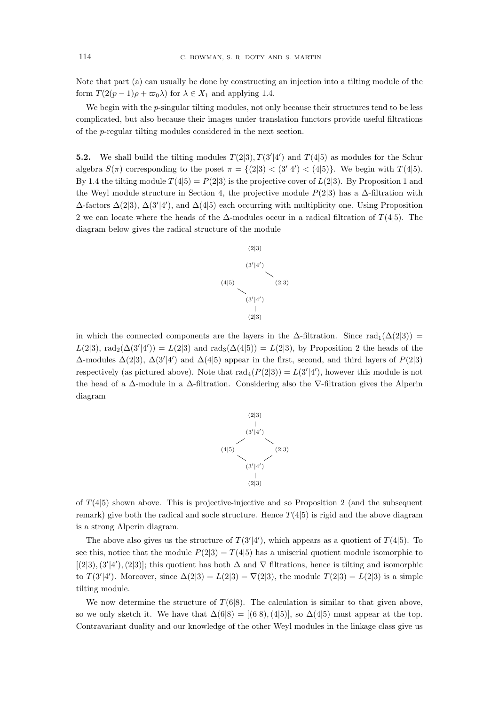Note that part (a) can usually be done by constructing an injection into a tilting module of the form  $T(2(p-1)\rho + \varpi_0 \lambda)$  for  $\lambda \in X_1$  and applying 1.4.

We begin with the  $p$ -singular tilting modules, not only because their structures tend to be less complicated, but also because their images under translation functors provide useful filtrations of the p-regular tilting modules considered in the next section.

**5.2.** We shall build the tilting modules  $T(2|3)$ ,  $T(3'|4')$  and  $T(4|5)$  as modules for the Schur algebra  $S(\pi)$  corresponding to the poset  $\pi = \{(2|3) < (3'|4') < (4|5)\}\.$  We begin with  $T(4|5)$ . By 1.4 the tilting module  $T(4|5) = P(2|3)$  is the projective cover of  $L(2|3)$ . By Proposition 1 and the Weyl module structure in Section 4, the projective module  $P(2|3)$  has a ∆-filtration with  $\Delta$ -factors  $\Delta(2|3)$ ,  $\Delta(3'|4')$ , and  $\Delta(4|5)$  each occurring with multiplicity one. Using Proposition 2 we can locate where the heads of the  $\Delta$ -modules occur in a radical filtration of  $T(4|5)$ . The diagram below gives the radical structure of the module



in which the connected components are the layers in the  $\Delta$ -filtration. Since rad<sub>1</sub>( $\Delta(2|3)$ ) =  $L(2|3)$ , rad<sub>2</sub>( $\Delta(3'|4')$ ) =  $L(2|3)$  and rad<sub>3</sub>( $\Delta(4|5)$ ) =  $L(2|3)$ , by Proposition 2 the heads of the  $\Delta$ -modules  $\Delta(2|3)$ ,  $\Delta(3'|4')$  and  $\Delta(4|5)$  appear in the first, second, and third layers of  $P(2|3)$ respectively (as pictured above). Note that  $\text{rad}_4(P(2|3)) = L(3'|4')$ , however this module is not the head of a ∆-module in a ∆-filtration. Considering also the ∇-filtration gives the Alperin diagram



of  $T(4|5)$  shown above. This is projective-injective and so Proposition 2 (and the subsequent remark) give both the radical and socle structure. Hence  $T(4|5)$  is rigid and the above diagram is a strong Alperin diagram.

The above also gives us the structure of  $T(3'|4')$ , which appears as a quotient of  $T(4|5)$ . To see this, notice that the module  $P(2|3) = T(4|5)$  has a uniserial quotient module isomorphic to [(2|3),(3'|4'),(2|3)]; this quotient has both  $\Delta$  and  $\nabla$  filtrations, hence is tilting and isomorphic to  $T(3'|4')$ . Moreover, since  $\Delta(2|3) = L(2|3) = \nabla(2|3)$ , the module  $T(2|3) = L(2|3)$  is a simple tilting module.

We now determine the structure of  $T(6|8)$ . The calculation is similar to that given above, so we only sketch it. We have that  $\Delta(6|8) = [(6|8), (4|5)]$ , so  $\Delta(4|5)$  must appear at the top. Contravariant duality and our knowledge of the other Weyl modules in the linkage class give us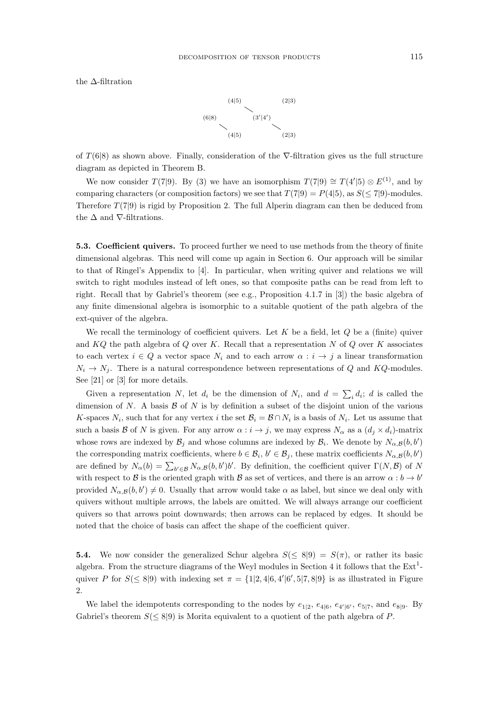the ∆-filtration



of  $T(6|8)$  as shown above. Finally, consideration of the  $\nabla$ -filtration gives us the full structure diagram as depicted in Theorem B.

We now consider  $T(7|9)$ . By (3) we have an isomorphism  $T(7|9) \cong T(4'|5) \otimes E^{(1)}$ , and by comparing characters (or composition factors) we see that  $T(7|9) = P(4|5)$ , as  $S(\leq 7|9)$ -modules. Therefore  $T(7|9)$  is rigid by Proposition 2. The full Alperin diagram can then be deduced from the  $\Delta$  and  $\nabla$ -filtrations.

5.3. Coefficient quivers. To proceed further we need to use methods from the theory of finite dimensional algebras. This need will come up again in Section 6. Our approach will be similar to that of Ringel's Appendix to [4]. In particular, when writing quiver and relations we will switch to right modules instead of left ones, so that composite paths can be read from left to right. Recall that by Gabriel's theorem (see e.g., Proposition 4.1.7 in [3]) the basic algebra of any finite dimensional algebra is isomorphic to a suitable quotient of the path algebra of the ext-quiver of the algebra.

We recall the terminology of coefficient quivers. Let  $K$  be a field, let  $Q$  be a (finite) quiver and  $KQ$  the path algebra of  $Q$  over  $K$ . Recall that a representation  $N$  of  $Q$  over  $K$  associates to each vertex  $i \in Q$  a vector space  $N_i$  and to each arrow  $\alpha : i \to j$  a linear transformation  $N_i \rightarrow N_j$ . There is a natural correspondence between representations of Q and KQ-modules. See [21] or [3] for more details.

Given a representation N, let  $d_i$  be the dimension of  $N_i$ , and  $d = \sum_i d_i$ ; d is called the dimension of N. A basis  $\beta$  of N is by definition a subset of the disjoint union of the various K-spaces  $N_i$ , such that for any vertex i the set  $\mathcal{B}_i = \mathcal{B} \cap N_i$  is a basis of  $N_i$ . Let us assume that such a basis B of N is given. For any arrow  $\alpha : i \to j$ , we may express  $N_{\alpha}$  as a  $(d_j \times d_i)$ -matrix whose rows are indexed by  $\mathcal{B}_j$  and whose columns are indexed by  $\mathcal{B}_i$ . We denote by  $N_{\alpha,\beta}(b, b')$ the corresponding matrix coefficients, where  $b \in \mathcal{B}_i$ ,  $b' \in \mathcal{B}_j$ , these matrix coefficients  $N_{\alpha,\mathcal{B}}(b,b')$ are defined by  $N_{\alpha}(b) = \sum_{b' \in \mathcal{B}} N_{\alpha,\mathcal{B}}(b,b')b'$ . By definition, the coefficient quiver  $\Gamma(N,\mathcal{B})$  of N with respect to B is the oriented graph with B as set of vertices, and there is an arrow  $\alpha : b \to b'$ provided  $N_{\alpha,\beta}(b, b') \neq 0$ . Usually that arrow would take  $\alpha$  as label, but since we deal only with quivers without multiple arrows, the labels are omitted. We will always arrange our coefficient quivers so that arrows point downwards; then arrows can be replaced by edges. It should be noted that the choice of basis can affect the shape of the coefficient quiver.

**5.4.** We now consider the generalized Schur algebra  $S(\leq 8|9) = S(\pi)$ , or rather its basic algebra. From the structure diagrams of the Weyl modules in Section 4 it follows that the  $\text{Ext}^1$ quiver P for  $S(\leq 8|9)$  with indexing set  $\pi = \{1|2, 4|6, 4|6', 5|7, 8|9\}$  is as illustrated in Figure 2.

We label the idempotents corresponding to the nodes by  $e_{1|2}, e_{4|6}, e_{4'|6'}, e_{5|7}$ , and  $e_{8|9}$ . By Gabriel's theorem  $S(\leq 8|9)$  is Morita equivalent to a quotient of the path algebra of P.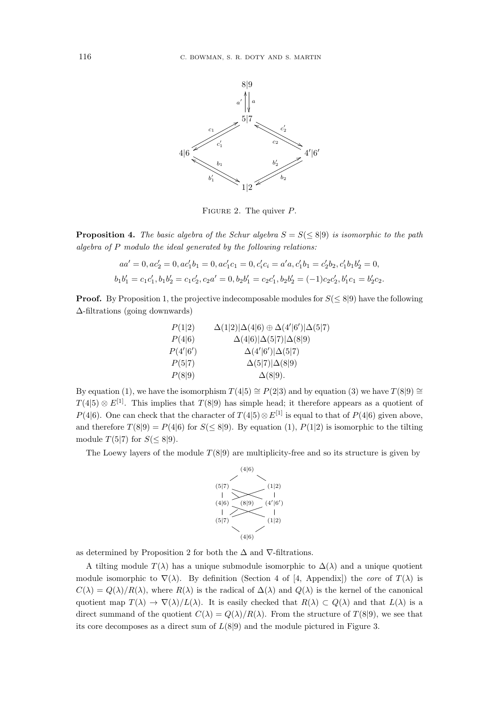

FIGURE 2. The quiver  $P$ .

**Proposition 4.** The basic algebra of the Schur algebra  $S = S \leq 8 \mid 9$  is isomorphic to the path *algebra of* P *modulo the ideal generated by the following relations:*

$$
aa' = 0, ac'_2 = 0, ac'_1b_1 = 0, ac'_1c_1 = 0, c'_ic_i = a'a, c'_1b_1 = c'_2b_2, c'_1b_1b'_2 = 0,
$$
  

$$
b_1b'_1 = c_1c'_1, b_1b'_2 = c_1c'_2, c_2a' = 0, b_2b'_1 = c_2c'_1, b_2b'_2 = (-1)c_2c'_2, b'_1c_1 = b'_2c_2.
$$

**Proof.** By Proposition 1, the projective indecomposable modules for  $S(\leq 8|9)$  have the following ∆-filtrations (going downwards)

| P(1 2)   | $\Delta(1 2) \Delta(4 6) \oplus \Delta(4' 6') \Delta(5 7)$ |
|----------|------------------------------------------------------------|
| P(4 6)   | $\Delta(4 6) \Delta(5 7) \Delta(8 9)$                      |
| P(4' 6') | $\Delta(4' 6') \Delta(5 7)$                                |
| P(5 7)   | $\Delta(5 7) \Delta(8 9)$                                  |
| P(8 9)   | $\Delta(8 9)$ .                                            |

By equation (1), we have the isomorphism  $T(4|5) \cong P(2|3)$  and by equation (3) we have  $T(8|9) \cong$  $T(4|5) \otimes E^{[1]}$ . This implies that  $T(8|9)$  has simple head; it therefore appears as a quotient of P(4|6). One can check that the character of  $T(4|5) \otimes E^{[1]}$  is equal to that of P(4|6) given above, and therefore  $T(8|9) = P(4|6)$  for  $S(\leq 8|9)$ . By equation (1),  $P(1|2)$  is isomorphic to the tilting module  $T(5|7)$  for  $S(\leq 8|9)$ .

The Loewy layers of the module  $T(8|9)$  are multiplicity-free and so its structure is given by



as determined by Proposition 2 for both the  $\Delta$  and  $\nabla$ -filtrations.

A tilting module  $T(\lambda)$  has a unique submodule isomorphic to  $\Delta(\lambda)$  and a unique quotient module isomorphic to  $\nabla(\lambda)$ . By definition (Section 4 of [4, Appendix]) the *core* of  $T(\lambda)$  is  $C(\lambda) = Q(\lambda)/R(\lambda)$ , where  $R(\lambda)$  is the radical of  $\Delta(\lambda)$  and  $Q(\lambda)$  is the kernel of the canonical quotient map  $T(\lambda) \to \nabla(\lambda)/L(\lambda)$ . It is easily checked that  $R(\lambda) \subset Q(\lambda)$  and that  $L(\lambda)$  is a direct summand of the quotient  $C(\lambda) = Q(\lambda)/R(\lambda)$ . From the structure of  $T(8|9)$ , we see that its core decomposes as a direct sum of  $L(8|9)$  and the module pictured in Figure 3.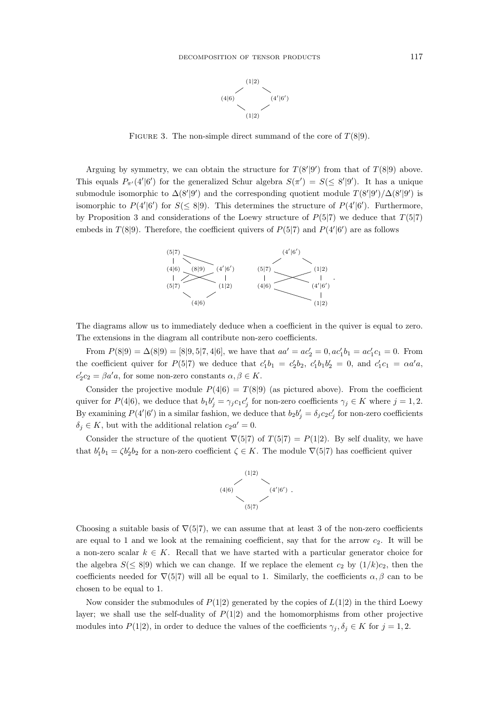

FIGURE 3. The non-simple direct summand of the core of  $T(8|9)$ .

Arguing by symmetry, we can obtain the structure for  $T(8'|9')$  from that of  $T(8|9)$  above. This equals  $P_{\pi'}(4'|6')$  for the generalized Schur algebra  $S(\pi') = S(\leq 8'|9')$ . It has a unique submodule isomorphic to  $\Delta(8'|9')$  and the corresponding quotient module  $T(8'|9')/\Delta(8'|9')$  is isomorphic to  $P(4'|6')$  for  $S(\leq 8|9)$ . This determines the structure of  $P(4'|6')$ . Furthermore, by Proposition 3 and considerations of the Loewy structure of  $P(5|7)$  we deduce that  $T(5|7)$ embeds in  $T(8|9)$ . Therefore, the coefficient quivers of  $P(5|7)$  and  $P(4'|6')$  are as follows



The diagrams allow us to immediately deduce when a coefficient in the quiver is equal to zero. The extensions in the diagram all contribute non-zero coefficients.

From  $P(8|9) = \Delta(8|9) = [8|9, 5|7, 4|6]$ , we have that  $aa' = ac'_2 = 0, ac'_1b_1 = ac'_1c_1 = 0$ . From the coefficient quiver for  $P(5|7)$  we deduce that  $c'_1b_1 = c'_2b_2$ ,  $c'_1b_1b'_2 = 0$ , and  $c'_1c_1 = \alpha a'a$ ,  $c_2'c_2 = \beta a' a$ , for some non-zero constants  $\alpha, \beta \in K$ .

Consider the projective module  $P(4|6) = T(8|9)$  (as pictured above). From the coefficient quiver for  $P(4|6)$ , we deduce that  $b_1b'_j = \gamma_jc_1c'_j$  for non-zero coefficients  $\gamma_j \in K$  where  $j = 1, 2$ . By examining  $P(4'|6')$  in a similar fashion, we deduce that  $b_2b'_j = \delta_jc_2c'_j$  for non-zero coefficients  $\delta_j \in K$ , but with the additional relation  $c_2 a' = 0$ .

Consider the structure of the quotient  $\nabla(5|7)$  of  $T(5|7) = P(1|2)$ . By self duality, we have that  $b'_1b_1 = \zeta b'_2b_2$  for a non-zero coefficient  $\zeta \in K$ . The module  $\nabla(5|7)$  has coefficient quiver



Choosing a suitable basis of  $\nabla(5|7)$ , we can assume that at least 3 of the non-zero coefficients are equal to 1 and we look at the remaining coefficient, say that for the arrow  $c_2$ . It will be a non-zero scalar  $k \in K$ . Recall that we have started with a particular generator choice for the algebra  $S(\leq 8|9)$  which we can change. If we replace the element  $c_2$  by  $(1/k)c_2$ , then the coefficients needed for  $\nabla(5|7)$  will all be equal to 1. Similarly, the coefficients  $\alpha, \beta$  can to be chosen to be equal to 1.

Now consider the submodules of  $P(1|2)$  generated by the copies of  $L(1|2)$  in the third Loewy layer; we shall use the self-duality of  $P(1|2)$  and the homomorphisms from other projective modules into  $P(1|2)$ , in order to deduce the values of the coefficients  $\gamma_j, \delta_j \in K$  for  $j = 1, 2$ .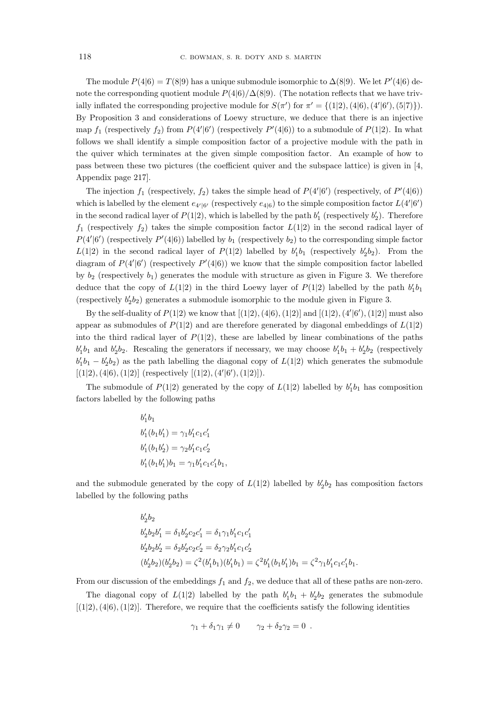The module  $P(4|6) = T(8|9)$  has a unique submodule isomorphic to  $\Delta(8|9)$ . We let  $P'(4|6)$  denote the corresponding quotient module  $P(4|6)/\Delta(8|9)$ . (The notation reflects that we have trivially inflated the corresponding projective module for  $S(\pi')$  for  $\pi' = \{(1|2), (4|6), (4'|6'), (5|7)\}\)$ . By Proposition 3 and considerations of Loewy structure, we deduce that there is an injective map  $f_1$  (respectively  $f_2$ ) from  $P(4'|6')$  (respectively  $P'(4|6)$ ) to a submodule of  $P(1|2)$ . In what follows we shall identify a simple composition factor of a projective module with the path in the quiver which terminates at the given simple composition factor. An example of how to pass between these two pictures (the coefficient quiver and the subspace lattice) is given in [4, Appendix page 217].

The injection  $f_1$  (respectively,  $f_2$ ) takes the simple head of  $P(4'|6')$  (respectively, of  $P'(4|6)$ ) which is labelled by the element  $e_{4'|6'}$  (respectively  $e_{4|6}$ ) to the simple composition factor  $L(4'|6')$ in the second radical layer of  $P(1|2)$ , which is labelled by the path  $b'_1$  (respectively  $b'_2$ ). Therefore  $f_1$  (respectively  $f_2$ ) takes the simple composition factor  $L(1|2)$  in the second radical layer of  $P(4'|6')$  (respectively  $P'(4|6)$ ) labelled by  $b_1$  (respectively  $b_2$ ) to the corresponding simple factor  $L(1|2)$  in the second radical layer of  $P(1|2)$  labelled by  $b'_1b_1$  (respectively  $b'_2b_2$ ). From the diagram of  $P(4'|6')$  (respectively  $P'(4|6)$ ) we know that the simple composition factor labelled by  $b_2$  (respectively  $b_1$ ) generates the module with structure as given in Figure 3. We therefore deduce that the copy of  $L(1|2)$  in the third Loewy layer of  $P(1|2)$  labelled by the path  $b'_1b_1$ (respectively  $b_2'b_2$ ) generates a submodule isomorphic to the module given in Figure 3.

By the self-duality of  $P(1|2)$  we know that  $[(1|2), (4|6), (1|2)]$  and  $[(1|2), (4'|6'), (1|2)]$  must also appear as submodules of  $P(1|2)$  and are therefore generated by diagonal embeddings of  $L(1|2)$ into the third radical layer of  $P(1|2)$ , these are labelled by linear combinations of the paths  $b'_1b_1$  and  $b'_2b_2$ . Rescaling the generators if necessary, we may choose  $b'_1b_1 + b'_2b_2$  (respectively  $b'_1b_1 - b'_2b_2$  as the path labelling the diagonal copy of  $L(1|2)$  which generates the submodule  $[(1|2), (4|6), (1|2)]$  (respectively  $[(1|2), (4'|6'), (1|2)]$ ).

The submodule of  $P(1|2)$  generated by the copy of  $L(1|2)$  labelled by  $b'_1b_1$  has composition factors labelled by the following paths

$$
b'_1b_1b'_1(b_1b'_1) = \gamma_1b'_1c_1c'_1b'_1(b_1b'_2) = \gamma_2b'_1c_1c'_2b'_1(b_1b'_1)b_1 = \gamma_1b'_1c_1c'_1b_1,
$$

and the submodule generated by the copy of  $L(1|2)$  labelled by  $b_2'b_2$  has composition factors labelled by the following paths

$$
b'_2b_2
$$
  
\n
$$
b'_2b_2b'_1 = \delta_1b'_2c_2c'_1 = \delta_1\gamma_1b'_1c_1c'_1
$$
  
\n
$$
b'_2b_2b'_2 = \delta_2b'_2c_2c'_2 = \delta_2\gamma_2b'_1c_1c'_2
$$
  
\n
$$
(b'_2b_2)(b'_2b_2) = \zeta^2(b'_1b_1)(b'_1b_1) = \zeta^2b'_1(b_1b'_1)b_1 = \zeta^2\gamma_1b'_1c_1c'_1b_1.
$$

From our discussion of the embeddings  $f_1$  and  $f_2$ , we deduce that all of these paths are non-zero.

The diagonal copy of  $L(1|2)$  labelled by the path  $b'_1b_1 + b'_2b_2$  generates the submodule  $[(1|2), (4|6), (1|2)]$ . Therefore, we require that the coefficients satisfy the following identities

$$
\gamma_1 + \delta_1 \gamma_1 \neq 0 \qquad \gamma_2 + \delta_2 \gamma_2 = 0 \; .
$$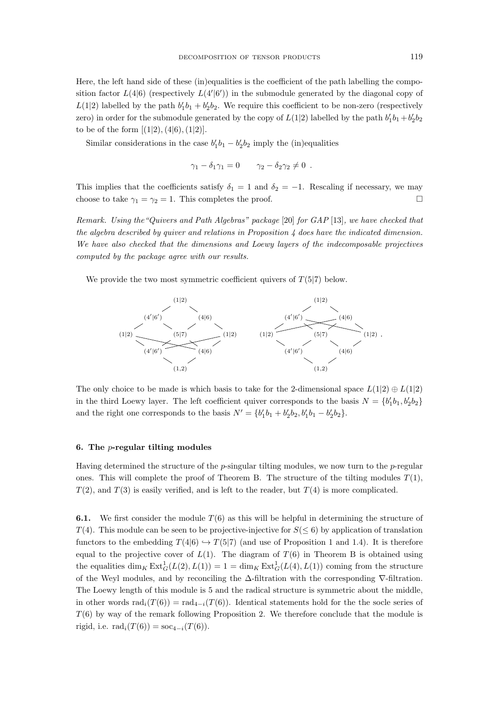Here, the left hand side of these (in)equalities is the coefficient of the path labelling the composition factor  $L(4|6)$  (respectively  $L(4'|6')$ ) in the submodule generated by the diagonal copy of  $L(1|2)$  labelled by the path  $b'_1b_1 + b'_2b_2$ . We require this coefficient to be non-zero (respectively zero) in order for the submodule generated by the copy of  $L(1|2)$  labelled by the path  $b'_1b_1 + b'_2b_2$ to be of the form  $[(1|2), (4|6), (1|2)].$ 

Similar considerations in the case  $b'_1b_1 - b'_2b_2$  imply the (in)equalities

$$
\gamma_1 - \delta_1 \gamma_1 = 0 \qquad \gamma_2 - \delta_2 \gamma_2 \neq 0 \; .
$$

This implies that the coefficients satisfy  $\delta_1 = 1$  and  $\delta_2 = -1$ . Rescaling if necessary, we may choose to take  $\gamma_1 = \gamma_2 = 1$ . This completes the proof.

*Remark. Using the"Quivers and Path Algebras" package* [20] *for GAP* [13]*, we have checked that the algebra described by quiver and relations in Proposition 4 does have the indicated dimension. We have also checked that the dimensions and Loewy layers of the indecomposable projectives computed by the package agree with our results.*

We provide the two most symmetric coefficient quivers of  $T(5|7)$  below.



The only choice to be made is which basis to take for the 2-dimensional space  $L(1|2) \oplus L(1|2)$ in the third Loewy layer. The left coefficient quiver corresponds to the basis  $N = \{b'_1b_1, b'_2b_2\}$ and the right one corresponds to the basis  $N' = \{b'_1b_1 + b'_2b_2, b'_1b_1 - b'_2b_2\}.$ 

#### 6. The p-regular tilting modules

Having determined the structure of the  $p$ -singular tilting modules, we now turn to the  $p$ -regular ones. This will complete the proof of Theorem B. The structure of the tilting modules  $T(1)$ ,  $T(2)$ , and  $T(3)$  is easily verified, and is left to the reader, but  $T(4)$  is more complicated.

**6.1.** We first consider the module  $T(6)$  as this will be helpful in determining the structure of  $T(4)$ . This module can be seen to be projective-injective for  $S(\leq 6)$  by application of translation functors to the embedding  $T(4|6) \hookrightarrow T(5|7)$  (and use of Proposition 1 and 1.4). It is therefore equal to the projective cover of  $L(1)$ . The diagram of  $T(6)$  in Theorem B is obtained using the equalities  $\dim_K \text{Ext}^1_G(L(2), L(1)) = 1 = \dim_K \text{Ext}^1_G(L(4), L(1))$  coming from the structure of the Weyl modules, and by reconciling the ∆-filtration with the corresponding ∇-filtration. The Loewy length of this module is 5 and the radical structure is symmetric about the middle, in other words  $\text{rad}_i(T(6)) = \text{rad}_{4-i}(T(6))$ . Identical statements hold for the the socle series of  $T(6)$  by way of the remark following Proposition 2. We therefore conclude that the module is rigid, i.e.  $\text{rad}_i(T(6)) = \text{soc}_{4-i}(T(6)).$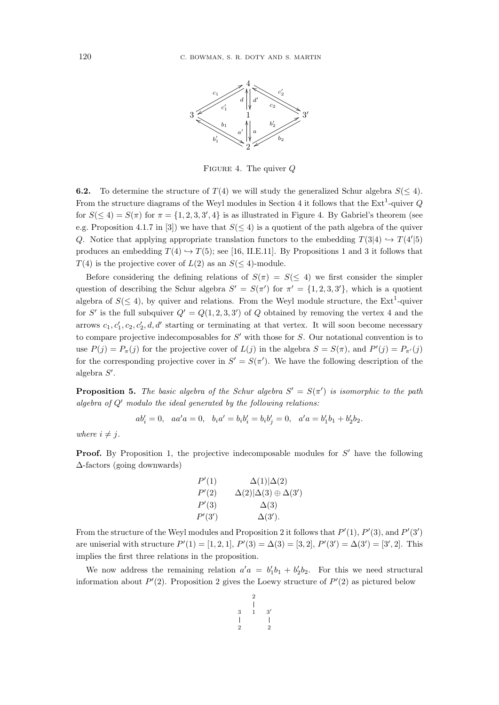

FIGURE 4. The quiver  $Q$ 

**6.2.** To determine the structure of  $T(4)$  we will study the generalized Schur algebra  $S(\leq 4)$ . From the structure diagrams of the Weyl modules in Section 4 it follows that the  $Ext<sup>1</sup>$ -quiver Q for  $S(\leq 4) = S(\pi)$  for  $\pi = \{1, 2, 3, 3', 4\}$  is as illustrated in Figure 4. By Gabriel's theorem (see e.g. Proposition 4.1.7 in [3]) we have that  $S(\leq 4)$  is a quotient of the path algebra of the quiver Q. Notice that applying appropriate translation functors to the embedding  $T(3|4) \rightarrow T(4'|5)$ produces an embedding  $T(4) \hookrightarrow T(5)$ ; see [16, II.E.11]. By Propositions 1 and 3 it follows that  $T(4)$  is the projective cover of  $L(2)$  as an  $S(\leq 4)$ -module.

Before considering the defining relations of  $S(\pi) = S(\leq 4)$  we first consider the simpler question of describing the Schur algebra  $S' = S(\pi')$  for  $\pi' = \{1, 2, 3, 3'\}$ , which is a quotient algebra of  $S(\leq 4)$ , by quiver and relations. From the Weyl module structure, the Ext<sup>1</sup>-quiver for S' is the full subquiver  $Q' = Q(1, 2, 3, 3')$  of Q obtained by removing the vertex 4 and the arrows  $c_1, c'_1, c_2, c'_2, d, d'$  starting or terminating at that vertex. It will soon become necessary to compare projective indecomposables for  $S'$  with those for  $S$ . Our notational convention is to use  $P(j) = P_{\pi}(j)$  for the projective cover of  $L(j)$  in the algebra  $S = S(\pi)$ , and  $P'(j) = P_{\pi'}(j)$ for the corresponding projective cover in  $S' = S(\pi')$ . We have the following description of the algebra  $S'$ .

**Proposition 5.** The basic algebra of the Schur algebra  $S' = S(\pi')$  is isomorphic to the path *algebra of* Q′ *modulo the ideal generated by the following relations:*

$$
ab'_i = 0, \quad aa'a = 0, \quad b_i a' = b_i b'_i = b_i b'_j = 0, \quad a'a = b'_1 b_1 + b'_2 b_2.
$$

*where*  $i \neq j$ *.* 

**Proof.** By Proposition 1, the projective indecomposable modules for  $S'$  have the following ∆-factors (going downwards)

$$
P'(1) \qquad \Delta(1)|\Delta(2)
$$
  
\n
$$
P'(2) \qquad \Delta(2)|\Delta(3) \oplus \Delta(3')
$$
  
\n
$$
P'(3) \qquad \Delta(3)
$$
  
\n
$$
P'(3')
$$
  
\n
$$
\Delta(3').
$$

From the structure of the Weyl modules and Proposition 2 it follows that  $P'(1)$ ,  $P'(3)$ , and  $P'(3')$ are uniserial with structure  $P'(1) = [1, 2, 1], P'(3) = \Delta(3) = [3, 2], P'(3') = \Delta(3') = [3', 2].$  This implies the first three relations in the proposition.

We now address the remaining relation  $a'a = b'_1b_1 + b'_2b_2$ . For this we need structural information about  $P'(2)$ . Proposition 2 gives the Loewy structure of  $P'(2)$  as pictured below

$$
\begin{array}{c|cc} & 2 & & \\ \hline 3 & 1 & 3' \\ | & & | & \\ 2 & & 2 \end{array}
$$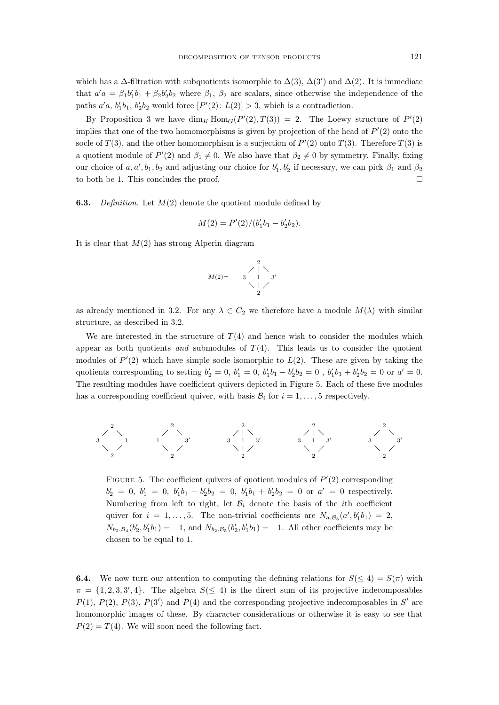which has a  $\Delta$ -filtration with subquotients isomorphic to  $\Delta(3)$ ,  $\Delta(3')$  and  $\Delta(2)$ . It is immediate that  $a'a = \beta_1 b'_1 b_1 + \beta_2 b'_2 b_2$  where  $\beta_1$ ,  $\beta_2$  are scalars, since otherwise the independence of the paths  $a'a$ ,  $b'_1b_1$ ,  $b'_2b_2$  would force  $[P'(2): L(2)] > 3$ , which is a contradiction.

By Proposition 3 we have  $\dim_K \text{Hom}_G(P'(2), T(3)) = 2$ . The Loewy structure of  $P'(2)$ implies that one of the two homomorphisms is given by projection of the head of  $P'(2)$  onto the socle of  $T(3)$ , and the other homomorphism is a surjection of  $P'(2)$  onto  $T(3)$ . Therefore  $T(3)$  is a quotient module of  $P'(2)$  and  $\beta_1 \neq 0$ . We also have that  $\beta_2 \neq 0$  by symmetry. Finally, fixing our choice of  $a, a', b_1, b_2$  and adjusting our choice for  $b'_1, b'_2$  if necessary, we can pick  $\beta_1$  and  $\beta_2$ to both be 1. This concludes the proof.

6.3. *Definition.* Let M(2) denote the quotient module defined by

$$
M(2) = P'(2)/(b'_1b_1 - b'_2b_2).
$$

It is clear that  $M(2)$  has strong Alperin diagram

$$
M(2)=\begin{array}{c}2\\2\\3\\1\\2\end{array}
$$

as already mentioned in 3.2. For any  $\lambda \in C_2$  we therefore have a module  $M(\lambda)$  with similar structure, as described in 3.2.

We are interested in the structure of  $T(4)$  and hence wish to consider the modules which appear as both quotients *and* submodules of  $T(4)$ . This leads us to consider the quotient modules of  $P'(2)$  which have simple socle isomorphic to  $L(2)$ . These are given by taking the quotients corresponding to setting  $b'_2 = 0$ ,  $b'_1 = 0$ ,  $b'_1b_1 - b'_2b_2 = 0$ ,  $b'_1b_1 + b'_2b_2 = 0$  or  $a' = 0$ . The resulting modules have coefficient quivers depicted in Figure 5. Each of these five modules has a corresponding coefficient quiver, with basis  $B_i$  for  $i = 1, \ldots, 5$  respectively.



FIGURE 5. The coefficient quivers of quotient modules of  $P'(2)$  corresponding  $b'_2 = 0, b'_1 = 0, b'_1b_1 - b'_2b_2 = 0, b'_1b_1 + b'_2b_2 = 0$  or  $a' = 0$  respectively. Numbering from left to right, let  $B_i$  denote the basis of the *i*th coefficient quiver for  $i = 1, ..., 5$ . The non-trivial coefficients are  $N_{a, B_3}(a', b'_1 b_1) = 2$ ,  $N_{b_2,\mathcal{B}_4}(b'_2,b'_1b_1) = -1$ , and  $N_{b_2,\mathcal{B}_5}(b'_2,b'_1b_1) = -1$ . All other coefficients may be chosen to be equal to 1.

**6.4.** We now turn our attention to computing the defining relations for  $S(\leq 4) = S(\pi)$  with  $\pi = \{1, 2, 3, 3', 4\}.$  The algebra  $S(\leq 4)$  is the direct sum of its projective indecomposables  $P(1), P(2), P(3), P(3')$  and  $P(4)$  and the corresponding projective indecomposables in S' are homomorphic images of these. By character considerations or otherwise it is easy to see that  $P(2) = T(4)$ . We will soon need the following fact.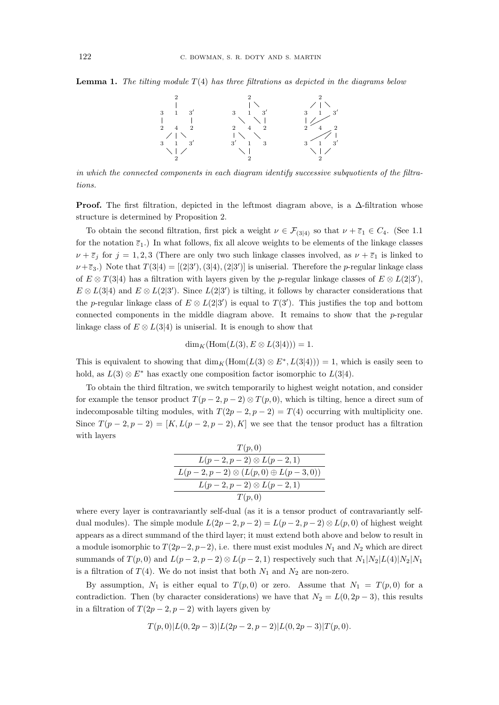Lemma 1. *The tilting module* T(4) *has three filtrations as depicted in the diagrams below*



*in which the connected components in each diagram identify successive subquotients of the filtrations.*

**Proof.** The first filtration, depicted in the leftmost diagram above, is a  $\Delta$ -filtration whose structure is determined by Proposition 2.

To obtain the second filtration, first pick a weight  $\nu \in \mathcal{F}_{(3|4)}$  so that  $\nu + \overline{\varepsilon}_1 \in C_4$ . (See 1.1) for the notation  $\bar{\varepsilon}_1$ .) In what follows, fix all alcove weights to be elements of the linkage classes  $\nu + \bar{\varepsilon}_i$  for  $j = 1, 2, 3$  (There are only two such linkage classes involved, as  $\nu + \bar{\varepsilon}_1$  is linked to  $\nu + \bar{\epsilon}_3$ .) Note that  $T(3|4) = [(2|3'), (3|4), (2|3')]$  is uniserial. Therefore the *p*-regular linkage class of  $E \otimes T(3|4)$  has a filtration with layers given by the p-regular linkage classes of  $E \otimes L(2|3')$ ,  $E \otimes L(3|4)$  and  $E \otimes L(2|3')$ . Since  $L(2|3')$  is tilting, it follows by character considerations that the p-regular linkage class of  $E \otimes L(2|3')$  is equal to  $T(3')$ . This justifies the top and bottom connected components in the middle diagram above. It remains to show that the  $p$ -regular linkage class of  $E \otimes L(3|4)$  is uniserial. It is enough to show that

$$
\dim_K(\mathrm{Hom}(L(3), E \otimes L(3|4))) = 1.
$$

This is equivalent to showing that  $\dim_K(\text{Hom}(L(3)\otimes E^*, L(3|4)))=1$ , which is easily seen to hold, as  $L(3) \otimes E^*$  has exactly one composition factor isomorphic to  $L(3|4)$ .

To obtain the third filtration, we switch temporarily to highest weight notation, and consider for example the tensor product  $T(p-2, p-2) \otimes T(p, 0)$ , which is tilting, hence a direct sum of indecomposable tilting modules, with  $T(2p - 2, p - 2) = T(4)$  occurring with multiplicity one. Since  $T(p-2, p-2) = [K, L(p-2, p-2), K]$  we see that the tensor product has a filtration with layers

| T(p,0)                                         |  |  |
|------------------------------------------------|--|--|
| $L(p-2, p-2) \otimes L(p-2, 1)$                |  |  |
| $L(p-2, p-2) \otimes (L(p,0) \oplus L(p-3,0))$ |  |  |
| $L(p-2, p-2) \otimes L(p-2, 1)$                |  |  |
| T(p,0)                                         |  |  |

where every layer is contravariantly self-dual (as it is a tensor product of contravariantly selfdual modules). The simple module  $L(2p-2, p-2) = L(p-2, p-2) \otimes L(p, 0)$  of highest weight appears as a direct summand of the third layer; it must extend both above and below to result in a module isomorphic to  $T(2p-2, p-2)$ , i.e. there must exist modules  $N_1$  and  $N_2$  which are direct summands of  $T(p, 0)$  and  $L(p-2, p-2) \otimes L(p-2, 1)$  respectively such that  $N_1|N_2|L(4)|N_2|N_1$ is a filtration of  $T(4)$ . We do not insist that both  $N_1$  and  $N_2$  are non-zero.

By assumption,  $N_1$  is either equal to  $T(p, 0)$  or zero. Assume that  $N_1 = T(p, 0)$  for a contradiction. Then (by character considerations) we have that  $N_2 = L(0, 2p - 3)$ , this results in a filtration of  $T(2p-2, p-2)$  with layers given by

$$
T(p,0)|L(0,2p-3)|L(2p-2,p-2)|L(0,2p-3)|T(p,0).
$$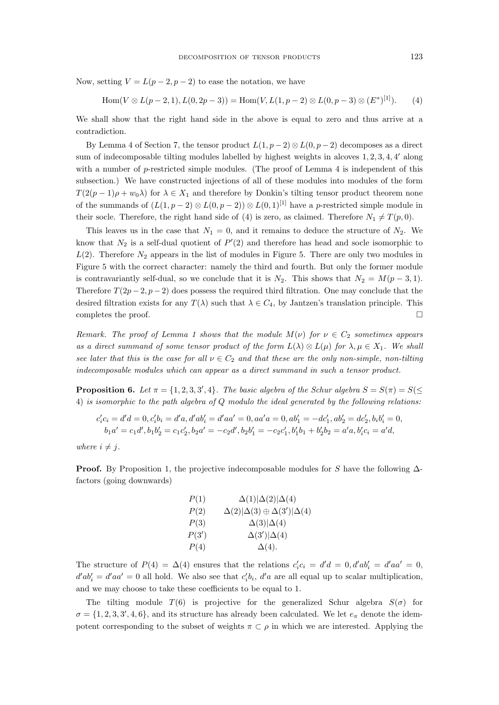Now, setting  $V = L(p-2, p-2)$  to ease the notation, we have

Hom
$$
(V \otimes L(p-2, 1), L(0, 2p-3))
$$
 = Hom $(V, L(1, p-2) \otimes L(0, p-3) \otimes (E^*)^{[1]})$ . (4)

We shall show that the right hand side in the above is equal to zero and thus arrive at a contradiction.

By Lemma 4 of Section 7, the tensor product  $L(1, p-2) \otimes L(0, p-2)$  decomposes as a direct sum of indecomposable tilting modules labelled by highest weights in alcoves  $1, 2, 3, 4, 4'$  along with a number of  $p$ -restricted simple modules. (The proof of Lemma 4 is independent of this subsection.) We have constructed injections of all of these modules into modules of the form  $T(2(p-1)\rho + w_0\lambda)$  for  $\lambda \in X_1$  and therefore by Donkin's tilting tensor product theorem none of the summands of  $(L(1, p-2) \otimes L(0, p-2)) \otimes L(0, 1)^{[1]}$  have a p-restricted simple module in their socle. Therefore, the right hand side of (4) is zero, as claimed. Therefore  $N_1 \neq T(p, 0)$ .

This leaves us in the case that  $N_1 = 0$ , and it remains to deduce the structure of  $N_2$ . We know that  $N_2$  is a self-dual quotient of  $P'(2)$  and therefore has head and socle isomorphic to  $L(2)$ . Therefore  $N_2$  appears in the list of modules in Figure 5. There are only two modules in Figure 5 with the correct character: namely the third and fourth. But only the former module is contravariantly self-dual, so we conclude that it is  $N_2$ . This shows that  $N_2 = M(p-3,1)$ . Therefore  $T(2p-2, p-2)$  does possess the required third filtration. One may conclude that the desired filtration exists for any  $T(\lambda)$  such that  $\lambda \in C_4$ , by Jantzen's translation principle. This completes the proof.  $\Box$ 

*Remark. The proof of Lemma 1 shows that the module*  $M(\nu)$  *for*  $\nu \in C_2$  *sometimes appears as a direct summand of some tensor product of the form*  $L(\lambda) \otimes L(\mu)$  *for*  $\lambda, \mu \in X_1$ *. We shall see later that this is the case for all*  $\nu \in C_2$  *and that these are the only non-simple, non-tilting indecomposable modules which can appear as a direct summand in such a tensor product.*

**Proposition 6.** Let  $\pi = \{1, 2, 3, 3', 4\}$ . The basic algebra of the Schur algebra  $S = S(\pi) = S(\leq$ 4) *is isomorphic to the path algebra of* Q *modulo the ideal generated by the following relations:*

$$
c'_ic_i = d'd = 0, c'_ib_i = d'a, d'ab'_i = d'aa' = 0, aa'a = 0, ab'_1 = -dc'_1, ab'_2 = dc'_2, b_ib'_i = 0, b_1a' = c_1d', b_1b'_2 = c_1c'_2, b_2a' = -c_2d', b_2b'_1 = -c_2c'_1, b'_1b_1 + b'_2b_2 = a'a, b'_ic_i = a'd,
$$

*where*  $i \neq j$ *.* 

**Proof.** By Proposition 1, the projective indecomposable modules for S have the following  $\Delta$ factors (going downwards)

$$
P(1) \qquad \Delta(1)|\Delta(2)|\Delta(4)
$$
  
\n
$$
P(2) \qquad \Delta(2)|\Delta(3) \oplus \Delta(3')|\Delta(4)
$$
  
\n
$$
P(3) \qquad \Delta(3)|\Delta(4)
$$
  
\n
$$
P(4) \qquad \Delta(4).
$$

The structure of  $P(4) = \Delta(4)$  ensures that the relations  $c_i' c_i = d'd = 0, d'ab_i' = d'aa' = 0,$  $d'ab'_{i} = d'aa' = 0$  all hold. We also see that  $c'_{i}b_{i}$ ,  $d'a$  are all equal up to scalar multiplication, and we may choose to take these coefficients to be equal to 1.

The tilting module  $T(6)$  is projective for the generalized Schur algebra  $S(\sigma)$  for  $\sigma = \{1, 2, 3, 3', 4, 6\}$ , and its structure has already been calculated. We let  $e_{\pi}$  denote the idempotent corresponding to the subset of weights  $\pi \subset \rho$  in which we are interested. Applying the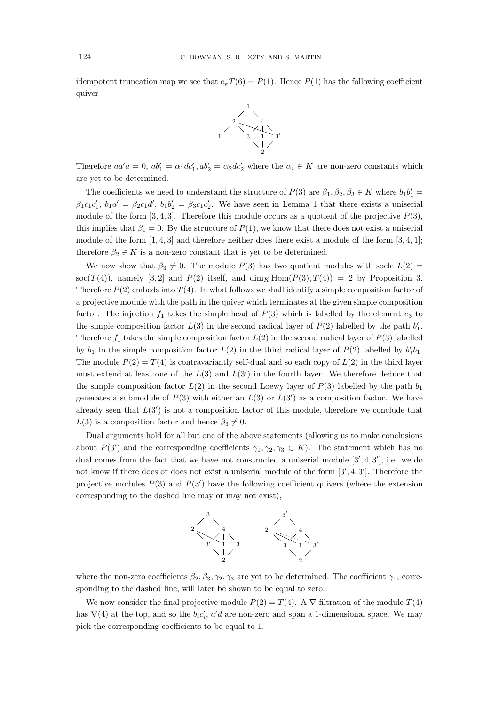idempotent truncation map we see that  $e_{\pi}T(6) = P(1)$ . Hence  $P(1)$  has the following coefficient quiver



Therefore  $aa'a = 0$ ,  $ab'_1 = \alpha_1 dc'_1$ ,  $ab'_2 = \alpha_2 dc'_2$  where the  $\alpha_i \in K$  are non-zero constants which are yet to be determined.

The coefficients we need to understand the structure of  $P(3)$  are  $\beta_1, \beta_2, \beta_3 \in K$  where  $b_1b'_1 =$  $\beta_1 c_1 c'_1$ ,  $b_1 a' = \beta_2 c_1 d'$ ,  $b_1 b'_2 = \beta_3 c_1 c'_2$ . We have seen in Lemma 1 that there exists a uniserial module of the form  $[3, 4, 3]$ . Therefore this module occurs as a quotient of the projective  $P(3)$ , this implies that  $\beta_1 = 0$ . By the structure of  $P(1)$ , we know that there does not exist a uniserial module of the form  $[1, 4, 3]$  and therefore neither does there exist a module of the form  $[3, 4, 1]$ ; therefore  $\beta_2 \in K$  is a non-zero constant that is yet to be determined.

We now show that  $\beta_3 \neq 0$ . The module  $P(3)$  has two quotient modules with socle  $L(2)$  = soc(T(4)), namely [3, 2] and P(2) itself, and  $\dim_K \text{Hom}(P(3), T(4)) = 2$  by Proposition 3. Therefore  $P(2)$  embeds into  $T(4)$ . In what follows we shall identify a simple composition factor of a projective module with the path in the quiver which terminates at the given simple composition factor. The injection  $f_1$  takes the simple head of  $P(3)$  which is labelled by the element  $e_3$  to the simple composition factor  $L(3)$  in the second radical layer of  $P(2)$  labelled by the path  $b'_1$ . Therefore  $f_1$  takes the simple composition factor  $L(2)$  in the second radical layer of  $P(3)$  labelled by  $b_1$  to the simple composition factor  $L(2)$  in the third radical layer of  $P(2)$  labelled by  $b'_1b_1$ . The module  $P(2) = T(4)$  is contravariantly self-dual and so each copy of  $L(2)$  in the third layer must extend at least one of the  $L(3)$  and  $L(3')$  in the fourth layer. We therefore deduce that the simple composition factor  $L(2)$  in the second Loewy layer of  $P(3)$  labelled by the path  $b_1$ generates a submodule of  $P(3)$  with either an  $L(3)$  or  $L(3')$  as a composition factor. We have already seen that  $L(3')$  is not a composition factor of this module, therefore we conclude that  $L(3)$  is a composition factor and hence  $\beta_3 \neq 0$ .

Dual arguments hold for all but one of the above statements (allowing us to make conclusions about  $P(3')$  and the corresponding coefficients  $\gamma_1, \gamma_2, \gamma_3 \in K$ ). The statement which has no dual comes from the fact that we have not constructed a uniserial module [3', 4, 3'], i.e. we do not know if there does or does not exist a uniserial module of the form  $[3', 4, 3']$ . Therefore the projective modules  $P(3)$  and  $P(3')$  have the following coefficient quivers (where the extension corresponding to the dashed line may or may not exist),



where the non-zero coefficients  $\beta_2, \beta_3, \gamma_2, \gamma_3$  are yet to be determined. The coefficient  $\gamma_1$ , corresponding to the dashed line, will later be shown to be equal to zero.

We now consider the final projective module  $P(2) = T(4)$ . A  $\nabla$ -filtration of the module  $T(4)$ has  $\nabla(4)$  at the top, and so the  $b_i c'_i$ , a'd are non-zero and span a 1-dimensional space. We may pick the corresponding coefficients to be equal to 1.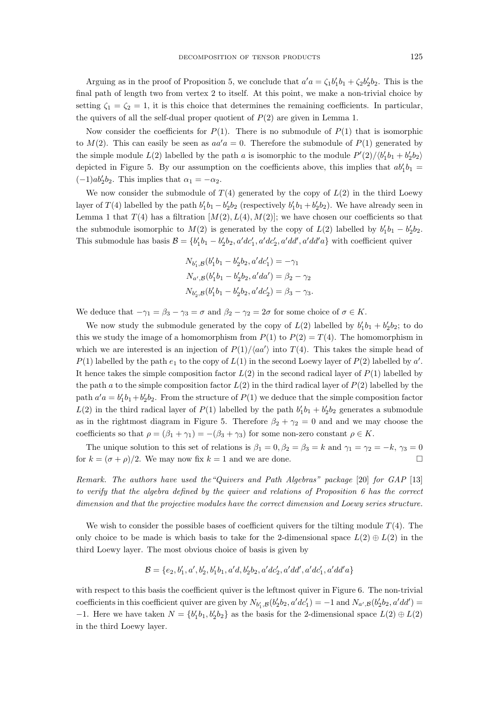Arguing as in the proof of Proposition 5, we conclude that  $a'a = \zeta_1 b'_1 b_1 + \zeta_2 b'_2 b_2$ . This is the final path of length two from vertex 2 to itself. At this point, we make a non-trivial choice by setting  $\zeta_1 = \zeta_2 = 1$ , it is this choice that determines the remaining coefficients. In particular, the quivers of all the self-dual proper quotient of  $P(2)$  are given in Lemma 1.

Now consider the coefficients for  $P(1)$ . There is no submodule of  $P(1)$  that is isomorphic to  $M(2)$ . This can easily be seen as  $aa'a = 0$ . Therefore the submodule of  $P(1)$  generated by the simple module  $L(2)$  labelled by the path a is isomorphic to the module  $P'(2)/\langle b_1'b_1 + b_2'b_2 \rangle$ depicted in Figure 5. By our assumption on the coefficients above, this implies that  $ab'_1b_1 =$  $(-1)ab'_2b_2$ . This implies that  $\alpha_1 = -\alpha_2$ .

We now consider the submodule of  $T(4)$  generated by the copy of  $L(2)$  in the third Loewy layer of  $T(4)$  labelled by the path  $b'_1b_1 - b'_2b_2$  (respectively  $b'_1b_1 + b'_2b_2$ ). We have already seen in Lemma 1 that  $T(4)$  has a filtration  $[M(2), L(4), M(2)]$ ; we have chosen our coefficients so that the submodule isomorphic to  $M(2)$  is generated by the copy of  $L(2)$  labelled by  $b'_1b_1 - b'_2b_2$ . This submodule has basis  $\mathcal{B} = \{b'_1b_1 - b'_2b_2, a'dc'_1, a'dc'_2, a'dd', a'dd'a\}$  with coefficient quiver

$$
N_{b'_1, \mathcal{B}}(b'_1b_1 - b'_2b_2, a'dc'_1) = -\gamma_1
$$
  
\n
$$
N_{a', \mathcal{B}}(b'_1b_1 - b'_2b_2, a'da') = \beta_2 - \gamma_2
$$
  
\n
$$
N_{b'_2, \mathcal{B}}(b'_1b_1 - b'_2b_2, a'dc'_2) = \beta_3 - \gamma_3.
$$

We deduce that  $-\gamma_1 = \beta_3 - \gamma_3 = \sigma$  and  $\beta_2 - \gamma_2 = 2\sigma$  for some choice of  $\sigma \in K$ .

We now study the submodule generated by the copy of  $L(2)$  labelled by  $b'_1b_1 + b'_2b_2$ ; to do this we study the image of a homomorphism from  $P(1)$  to  $P(2) = T(4)$ . The homomorphism in which we are interested is an injection of  $P(1)/\langle aa' \rangle$  into  $T(4)$ . This takes the simple head of  $P(1)$  labelled by the path  $e_1$  to the copy of  $L(1)$  in the second Loewy layer of  $P(2)$  labelled by  $a'$ . It hence takes the simple composition factor  $L(2)$  in the second radical layer of  $P(1)$  labelled by the path a to the simple composition factor  $L(2)$  in the third radical layer of  $P(2)$  labelled by the path  $a'a = b'_1b_1+b'_2b_2$ . From the structure of  $P(1)$  we deduce that the simple composition factor  $L(2)$  in the third radical layer of  $P(1)$  labelled by the path  $b'_1b_1 + b'_2b_2$  generates a submodule as in the rightmost diagram in Figure 5. Therefore  $\beta_2 + \gamma_2 = 0$  and and we may choose the coefficients so that  $\rho = (\beta_1 + \gamma_1) = -(\beta_3 + \gamma_3)$  for some non-zero constant  $\rho \in K$ .

The unique solution to this set of relations is  $\beta_1 = 0$ ,  $\beta_2 = \beta_3 = k$  and  $\gamma_1 = \gamma_2 = -k$ ,  $\gamma_3 = 0$ for  $k = (\sigma + \rho)/2$ . We may now fix  $k = 1$  and we are done.

*Remark. The authors have used the"Quivers and Path Algebras" package* [20] *for GAP* [13] *to verify that the algebra defined by the quiver and relations of Proposition 6 has the correct dimension and that the projective modules have the correct dimension and Loewy series structure.*

We wish to consider the possible bases of coefficient quivers for the tilting module  $T(4)$ . The only choice to be made is which basis to take for the 2-dimensional space  $L(2) \oplus L(2)$  in the third Loewy layer. The most obvious choice of basis is given by

$$
\mathcal{B}=\{e_2,b'_1,a',b'_2,b'_1b_1,a'd,b'_2b_2,a'dc'_2,a'dd',a'dc'_1,a'dd'a\}
$$

with respect to this basis the coefficient quiver is the leftmost quiver in Figure 6. The non-trivial coefficients in this coefficient quiver are given by  $N_{b'_1, B}(b'_2b_2, a'dc'_1) = -1$  and  $N_{a', B}(b'_2b_2, a'dd') =$ −1. Here we have taken  $N = \{b'_1b_1, b'_2b_2\}$  as the basis for the 2-dimensional space  $L(2) \oplus L(2)$ in the third Loewy layer.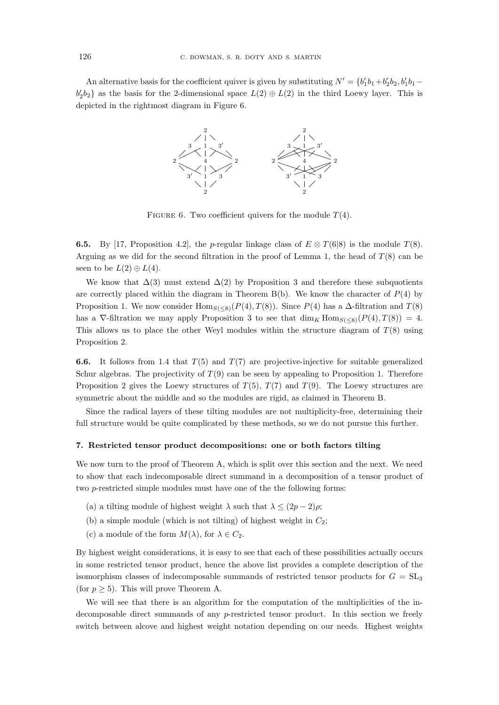An alternative basis for the coefficient quiver is given by substituting  $N' = \{b'_1b_1 + b'_2b_2, b'_1b_1 - b'_2b_2, b'_1b_2\}$  $b'_2b_2$  as the basis for the 2-dimensional space  $L(2) \oplus L(2)$  in the third Loewy layer. This is depicted in the rightmost diagram in Figure 6.



FIGURE 6. Two coefficient quivers for the module  $T(4)$ .

**6.5.** By [17, Proposition 4.2], the p-regular linkage class of  $E \otimes T(6|8)$  is the module  $T(8)$ . Arguing as we did for the second filtration in the proof of Lemma 1, the head of  $T(8)$  can be seen to be  $L(2) \oplus L(4)$ .

We know that  $\Delta(3)$  must extend  $\Delta(2)$  by Proposition 3 and therefore these subquotients are correctly placed within the diagram in Theorem  $B(b)$ . We know the character of  $P(4)$  by Proposition 1. We now consider  $\text{Hom}_{S(\leq 8)}(P(4), T(8))$ . Since  $P(4)$  has a  $\Delta$ -filtration and  $T(8)$ has a  $\nabla$ -filtration we may apply Proposition 3 to see that  $\dim_K \text{Hom}_{S(<8)}(P(4), T(8)) = 4$ . This allows us to place the other Weyl modules within the structure diagram of  $T(8)$  using Proposition 2.

**6.6.** It follows from 1.4 that  $T(5)$  and  $T(7)$  are projective-injective for suitable generalized Schur algebras. The projectivity of  $T(9)$  can be seen by appealing to Proposition 1. Therefore Proposition 2 gives the Loewy structures of  $T(5)$ ,  $T(7)$  and  $T(9)$ . The Loewy structures are symmetric about the middle and so the modules are rigid, as claimed in Theorem B.

Since the radical layers of these tilting modules are not multiplicity-free, determining their full structure would be quite complicated by these methods, so we do not pursue this further.

#### 7. Restricted tensor product decompositions: one or both factors tilting

We now turn to the proof of Theorem A, which is split over this section and the next. We need to show that each indecomposable direct summand in a decomposition of a tensor product of two p-restricted simple modules must have one of the the following forms:

- (a) a tilting module of highest weight  $\lambda$  such that  $\lambda \leq (2p-2)\rho$ ;
- (b) a simple module (which is not tilting) of highest weight in  $C_2$ ;
- (c) a module of the form  $M(\lambda)$ , for  $\lambda \in C_2$ .

By highest weight considerations, it is easy to see that each of these possibilities actually occurs in some restricted tensor product, hence the above list provides a complete description of the isomorphism classes of indecomposable summands of restricted tensor products for  $G = SL_3$ (for  $p \geq 5$ ). This will prove Theorem A.

We will see that there is an algorithm for the computation of the multiplicities of the indecomposable direct summands of any p-restricted tensor product. In this section we freely switch between alcove and highest weight notation depending on our needs. Highest weights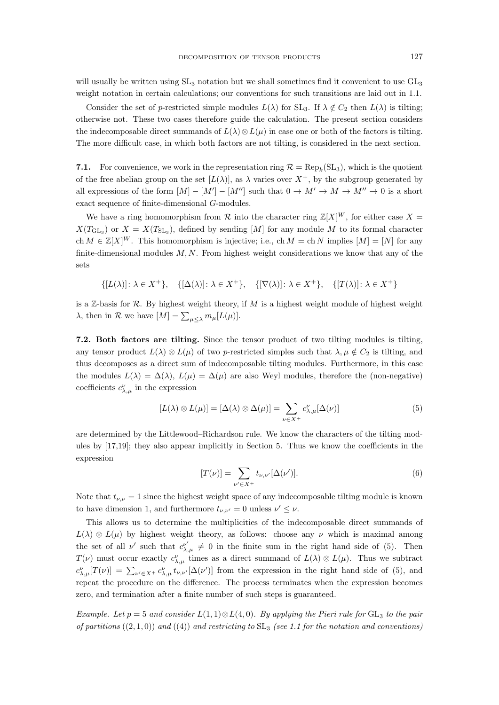will usually be written using  $SL_3$  notation but we shall sometimes find it convenient to use  $GL_3$ weight notation in certain calculations; our conventions for such transitions are laid out in 1.1.

Consider the set of p-restricted simple modules  $L(\lambda)$  for  $SL_3$ . If  $\lambda \notin C_2$  then  $L(\lambda)$  is tilting; otherwise not. These two cases therefore guide the calculation. The present section considers the indecomposable direct summands of  $L(\lambda) \otimes L(\mu)$  in case one or both of the factors is tilting. The more difficult case, in which both factors are not tilting, is considered in the next section.

7.1. For convenience, we work in the representation ring  $\mathcal{R} = \text{Rep}_k(\text{SL}_3)$ , which is the quotient of the free abelian group on the set  $[L(\lambda)]$ , as  $\lambda$  varies over  $X^+$ , by the subgroup generated by all expressions of the form  $[M] - [M'] - [M'']$  such that  $0 \to M' \to M \to M'' \to 0$  is a short exact sequence of finite-dimensional G-modules.

We have a ring homomorphism from  $\mathcal R$  into the character ring  $\mathbb Z[X]^W$ , for either case  $X =$  $X(T_{\text{GL}_3})$  or  $X = X(T_{\text{SL}_3})$ , defined by sending [M] for any module M to its formal character ch  $M \in \mathbb{Z}[X]^W$ . This homomorphism is injective; i.e., ch  $M = \text{ch } N$  implies  $[M] = [N]$  for any finite-dimensional modules  $M, N$ . From highest weight considerations we know that any of the sets

$$
\{[L(\lambda)] \colon \lambda \in X^+\}, \quad \{[\Delta(\lambda)] \colon \lambda \in X^+\}, \quad \{[\nabla(\lambda)] \colon \lambda \in X^+\}, \quad \{[T(\lambda)] \colon \lambda \in X^+\}
$$

is a  $\mathbb{Z}$ -basis for  $\mathcal{R}$ . By highest weight theory, if M is a highest weight module of highest weight  $\lambda$ , then in  $\mathcal R$  we have  $[M] = \sum_{\mu \leq \lambda} m_{\mu}[L(\mu)].$ 

7.2. Both factors are tilting. Since the tensor product of two tilting modules is tilting, any tensor product  $L(\lambda) \otimes L(\mu)$  of two p-restricted simples such that  $\lambda, \mu \notin C_2$  is tilting, and thus decomposes as a direct sum of indecomposable tilting modules. Furthermore, in this case the modules  $L(\lambda) = \Delta(\lambda)$ ,  $L(\mu) = \Delta(\mu)$  are also Weyl modules, therefore the (non-negative) coefficients  $c^{\nu}_{\lambda,\mu}$  in the expression

$$
[L(\lambda) \otimes L(\mu)] = [\Delta(\lambda) \otimes \Delta(\mu)] = \sum_{\nu \in X^+} c_{\lambda,\mu}^{\nu} [\Delta(\nu)] \tag{5}
$$

are determined by the Littlewood–Richardson rule. We know the characters of the tilting modules by [17,19]; they also appear implicitly in Section 5. Thus we know the coefficients in the expression

$$
[T(\nu)] = \sum_{\nu' \in X^+} t_{\nu,\nu'}[\Delta(\nu')].
$$
 (6)

Note that  $t_{\nu,\nu} = 1$  since the highest weight space of any indecomposable tilting module is known to have dimension 1, and furthermore  $t_{\nu,\nu'} = 0$  unless  $\nu' \leq \nu$ .

This allows us to determine the multiplicities of the indecomposable direct summands of  $L(\lambda) \otimes L(\mu)$  by highest weight theory, as follows: choose any  $\nu$  which is maximal among the set of all  $\nu'$  such that  $c_{\lambda,\mu}^{\nu'} \neq 0$  in the finite sum in the right hand side of (5). Then  $T(\nu)$  must occur exactly  $c^{\nu}_{\lambda,\mu}$  times as a direct summand of  $L(\lambda) \otimes L(\mu)$ . Thus we subtract  $c^{\nu}_{\lambda,\mu}[T(\nu)] = \sum_{\nu' \in X^+} c^{\nu}_{\lambda,\mu} t_{\nu,\nu'}[\Delta(\nu')]$  from the expression in the right hand side of (5), and repeat the procedure on the difference. The process terminates when the expression becomes zero, and termination after a finite number of such steps is guaranteed.

*Example. Let*  $p = 5$  *and consider*  $L(1,1) \otimes L(4,0)$ *. By applying the Pieri rule for*  $GL_3$  *to the pair of partitions* ((2, 1, 0)) *and* ((4)) *and restricting to* SL<sup>3</sup> *(see 1.1 for the notation and conventions)*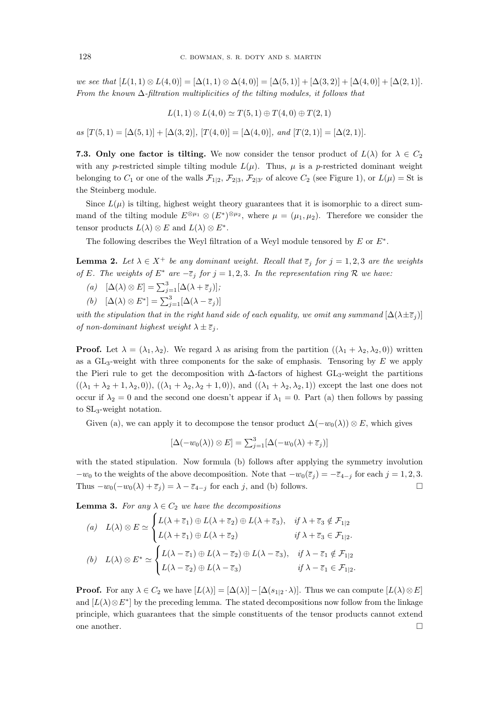*we see that*  $[L(1,1) \otimes L(4,0)] = [\Delta(1,1) \otimes \Delta(4,0)] = [\Delta(5,1)] + [\Delta(3,2)] + [\Delta(4,0)] + [\Delta(2,1)]$ *. From the known* ∆*-filtration multiplicities of the tilting modules, it follows that*

$$
L(1,1) \otimes L(4,0) \simeq T(5,1) \oplus T(4,0) \oplus T(2,1)
$$

 $as \ [T(5,1) = [\Delta(5,1)] + [\Delta(3,2)], \ [T(4,0)] = [\Delta(4,0)], \ and \ [T(2,1)] = [\Delta(2,1)].$ 

**7.3.** Only one factor is tilting. We now consider the tensor product of  $L(\lambda)$  for  $\lambda \in C_2$ with any p-restricted simple tilting module  $L(\mu)$ . Thus,  $\mu$  is a p-restricted dominant weight belonging to  $C_1$  or one of the walls  $\mathcal{F}_{1|2}$ ,  $\mathcal{F}_{2|3}$ ,  $\mathcal{F}_{2|3'}$  of alcove  $C_2$  (see Figure 1), or  $L(\mu) = St$  is the Steinberg module.

Since  $L(\mu)$  is tilting, highest weight theory guarantees that it is isomorphic to a direct summand of the tilting module  $E^{\otimes \mu_1} \otimes (E^*)^{\otimes \mu_2}$ , where  $\mu = (\mu_1, \mu_2)$ . Therefore we consider the tensor products  $L(\lambda) \otimes E$  and  $L(\lambda) \otimes E^*$ .

The following describes the Weyl filtration of a Weyl module tensored by  $E$  or  $E^*$ .

**Lemma 2.** Let  $\lambda \in X^+$  be any dominant weight. Recall that  $\overline{\varepsilon}_i$  for  $j = 1, 2, 3$  are the weights *of* E. The weights of  $E^*$  are  $-\overline{\varepsilon}_j$  for  $j = 1, 2, 3$ . In the representation ring  $\mathcal R$  we have:

- $(a) \quad [\Delta(\lambda) \otimes E] = \sum_{j=1}^{3} [\Delta(\lambda + \overline{\varepsilon}_j)];$
- (b)  $[\Delta(\lambda) \otimes E^*] = \sum_{j=1}^3 [\Delta(\lambda \overline{\epsilon}_j)]$

*with the stipulation that in the right hand side of each equality, we omit any summand*  $[\Delta(\lambda \pm \overline{\epsilon}_j)]$ *of non-dominant highest weight*  $\lambda \pm \overline{\epsilon}_i$ *.* 

**Proof.** Let  $\lambda = (\lambda_1, \lambda_2)$ . We regard  $\lambda$  as arising from the partition  $((\lambda_1 + \lambda_2, \lambda_2, 0))$  written as a  $GL_3$ -weight with three components for the sake of emphasis. Tensoring by  $E$  we apply the Pieri rule to get the decomposition with  $\Delta$ -factors of highest GL<sub>3</sub>-weight the partitions  $((\lambda_1 + \lambda_2 + 1, \lambda_2, 0)), ((\lambda_1 + \lambda_2, \lambda_2 + 1, 0)),$  and  $((\lambda_1 + \lambda_2, \lambda_2, 1))$  except the last one does not occur if  $\lambda_2 = 0$  and the second one doesn't appear if  $\lambda_1 = 0$ . Part (a) then follows by passing to SL3-weight notation.

Given (a), we can apply it to decompose the tensor product  $\Delta(-w_0(\lambda)) \otimes E$ , which gives

$$
[\Delta(-w_0(\lambda)) \otimes E] = \sum_{j=1}^3 [\Delta(-w_0(\lambda) + \overline{\varepsilon}_j)]
$$

with the stated stipulation. Now formula (b) follows after applying the symmetry involution  $-w_0$  to the weights of the above decomposition. Note that  $-w_0(\bar{\varepsilon}_j) = -\bar{\varepsilon}_{4-j}$  for each  $j = 1, 2, 3$ . Thus  $-w_0(-w_0(\lambda) + \overline{\varepsilon}_j) = \lambda - \overline{\varepsilon}_{4-j}$  for each j, and (b) follows.

**Lemma 3.** For any  $\lambda \in C_2$  we have the decompositions

(a) 
$$
L(\lambda) \otimes E \simeq \begin{cases} L(\lambda + \overline{\varepsilon}_1) \oplus L(\lambda + \overline{\varepsilon}_2) \oplus L(\lambda + \overline{\varepsilon}_3), & \text{if } \lambda + \overline{\varepsilon}_3 \notin \mathcal{F}_{1|2} \\ L(\lambda + \overline{\varepsilon}_1) \oplus L(\lambda + \overline{\varepsilon}_2) & \text{if } \lambda + \overline{\varepsilon}_3 \in \mathcal{F}_{1|2}. \end{cases}
$$
  
(b)  $L(\lambda) \otimes E^* \simeq \begin{cases} L(\lambda - \overline{\varepsilon}_1) \oplus L(\lambda - \overline{\varepsilon}_2) \oplus L(\lambda - \overline{\varepsilon}_3), & \text{if } \lambda - \overline{\varepsilon}_1 \notin \mathcal{F}_{1|2} \\ L(\lambda - \overline{\varepsilon}_2) \oplus L(\lambda - \overline{\varepsilon}_3) & \text{if } \lambda - \overline{\varepsilon}_1 \in \mathcal{F}_{1|2}. \end{cases}$ 

**Proof.** For any  $\lambda \in C_2$  we have  $[L(\lambda)] = [\Delta(\lambda)] - [\Delta(s_{1|2} \cdot \lambda)]$ . Thus we can compute  $[L(\lambda) \otimes E]$ and  $[L(\lambda) \otimes E^*]$  by the preceding lemma. The stated decompositions now follow from the linkage principle, which guarantees that the simple constituents of the tensor products cannot extend one another.  $\hfill \square$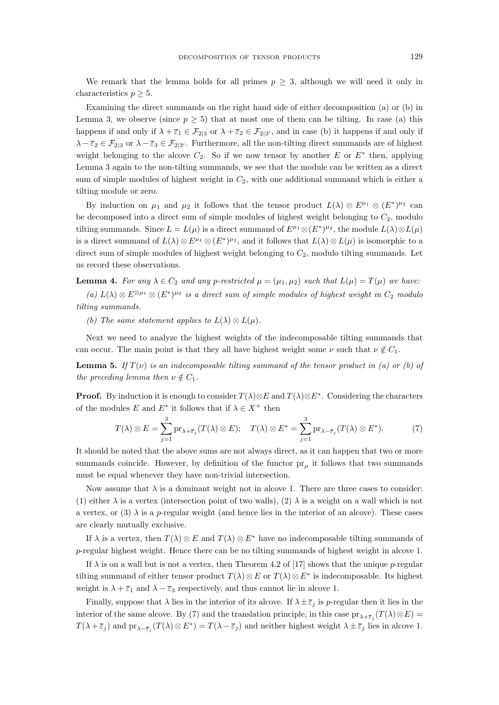We remark that the lemma holds for all primes  $p > 3$ , although we will need it only in characteristics  $p \geq 5$ .

Examining the direct summands on the right hand side of either decomposition (a) or (b) in Lemma 3, we observe (since  $p \geq 5$ ) that at most one of them can be tilting. In case (a) this happens if and only if  $\lambda + \overline{\varepsilon}_1 \in \mathcal{F}_{2|3}$  or  $\lambda + \overline{\varepsilon}_2 \in \mathcal{F}_{2|3'}$ , and in case (b) it happens if and only if  $\lambda - \bar{\varepsilon}_2 \in \mathcal{F}_{2|3}$  or  $\lambda - \bar{\varepsilon}_3 \in \mathcal{F}_{2|3'}$ . Furthermore, all the non-tilting direct summands are of highest weight belonging to the alcove  $C_2$ . So if we now tensor by another E or  $E^*$  then, applying Lemma 3 again to the non-tilting summands, we see that the module can be written as a direct sum of simple modules of highest weight in  $C_2$ , with one additional summand which is either a tilting module or zero.

By induction on  $\mu_1$  and  $\mu_2$  it follows that the tensor product  $L(\lambda) \otimes E^{\mu_1} \otimes (E^*)^{\mu_2}$  can be decomposed into a direct sum of simple modules of highest weight belonging to  $C_2$ , modulo tilting summands. Since  $L = L(\mu)$  is a direct summand of  $E^{\mu_1} \otimes (E^*)^{\mu_2}$ , the module  $L(\lambda) \otimes L(\mu)$ is a direct summand of  $L(\lambda) \otimes E^{\mu_1} \otimes (E^*)^{\mu_2}$ , and it follows that  $L(\lambda) \otimes L(\mu)$  is isomorphic to a direct sum of simple modules of highest weight belonging to  $C_2$ , modulo tilting summands. Let us record these observations.

**Lemma 4.** For any  $\lambda \in C_2$  and any p-restricted  $\mu = (\mu_1, \mu_2)$  such that  $L(\mu) = T(\mu)$  we have:  $(a) L(λ) ⊗ E<sup>⊗μ<sub>1</sub></sup> ⊗ (E<sup>*</sup>)<sup>μ<sub>2</sub></sup> is a direct sum of simple modules of highest weight in  $C_2$  modulo$ *tilting summands.*

*(b)* The same statement applies to  $L(\lambda) \otimes L(\mu)$ .

Next we need to analyze the highest weights of the indecomposable tilting summands that can occur. The main point is that they all have highest weight some  $\nu$  such that  $\nu \notin C_1$ .

**Lemma 5.** If  $T(v)$  is an indecomposable tilting summand of the tensor product in (a) or (b) of *the preceding lemma then*  $\nu \notin C_1$ *.* 

**Proof.** By induction it is enough to consider  $T(\lambda) \otimes E$  and  $T(\lambda) \otimes E^*$ . Considering the characters of the modules E and  $E^*$  it follows that if  $\lambda \in X^+$  then

$$
T(\lambda) \otimes E = \sum_{j=1}^{3} \text{pr}_{\lambda + \overline{\varepsilon}_{j}}(T(\lambda) \otimes E); \quad T(\lambda) \otimes E^* = \sum_{j=1}^{3} \text{pr}_{\lambda - \overline{\varepsilon}_{j}}(T(\lambda) \otimes E^*).
$$
 (7)

It should be noted that the above sums are not always direct, as it can happen that two or more summands coincide. However, by definition of the functor  $pr_{\mu}$  it follows that two summands must be equal whenever they have non-trivial intersection.

Now assume that  $\lambda$  is a dominant weight not in alcove 1. There are three cases to consider: (1) either  $\lambda$  is a vertex (intersection point of two walls), (2)  $\lambda$  is a weight on a wall which is not a vertex, or (3)  $\lambda$  is a p-regular weight (and hence lies in the interior of an alcove). These cases are clearly mutually exclusive.

If  $\lambda$  is a vertex, then  $T(\lambda) \otimes E$  and  $T(\lambda) \otimes E^*$  have no indecomposable tilting summands of p-regular highest weight. Hence there can be no tilting summands of highest weight in alcove 1.

If  $\lambda$  is on a wall but is not a vertex, then Theorem 4.2 of [17] shows that the unique p-regular tilting summand of either tensor product  $T(\lambda) \otimes E$  or  $T(\lambda) \otimes E^*$  is indecomposable. Its highest weight is  $\lambda + \overline{\epsilon}_1$  and  $\lambda - \overline{\epsilon}_3$  respectively, and thus cannot lie in alcove 1.

Finally, suppose that  $\lambda$  lies in the interior of its alcove. If  $\lambda \pm \overline{\epsilon}_j$  is p-regular then it lies in the interior of the same alcove. By (7) and the translation principle, in this case  $pr_{\lambda+\bar{\varepsilon}_j}(T(\lambda)\otimes E)=$  $T(\lambda + \overline{\varepsilon}_j)$  and  $\text{pr}_{\lambda - \overline{\varepsilon}_j}(T(\lambda) \otimes E^*) = T(\lambda - \overline{\varepsilon}_j)$  and neither highest weight  $\lambda \pm \overline{\varepsilon}_j$  lies in alcove 1.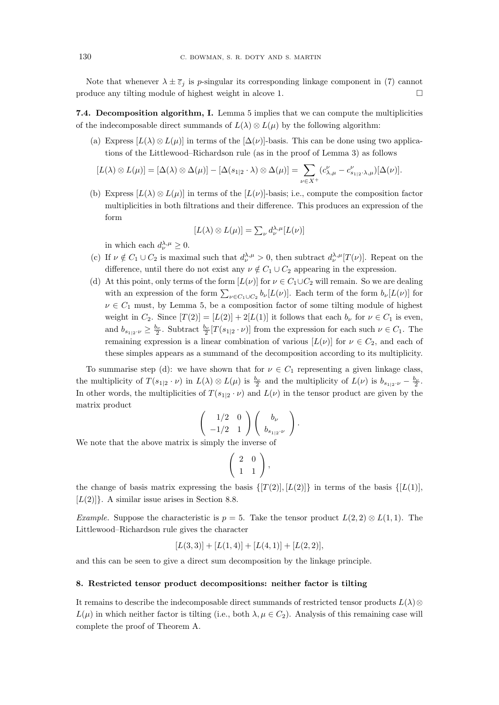Note that whenever  $\lambda \pm \overline{\varepsilon}_j$  is *p*-singular its corresponding linkage component in (7) cannot produce any tilting module of highest weight in alcove 1.  $\Box$ 

7.4. Decomposition algorithm, I. Lemma 5 implies that we can compute the multiplicities of the indecomposable direct summands of  $L(\lambda) \otimes L(\mu)$  by the following algorithm:

(a) Express  $[L(\lambda) \otimes L(\mu)]$  in terms of the  $[\Delta(\nu)]$ -basis. This can be done using two applications of the Littlewood–Richardson rule (as in the proof of Lemma 3) as follows

$$
[L(\lambda) \otimes L(\mu)] = [\Delta(\lambda) \otimes \Delta(\mu)] - [\Delta(s_{1|2} \cdot \lambda) \otimes \Delta(\mu)] = \sum_{\nu \in X^{+}} (c_{\lambda,\mu}^{\nu} - c_{s_{1|2} \cdot \lambda,\mu}^{\nu}) [\Delta(\nu)].
$$

(b) Express  $[L(\lambda) \otimes L(\mu)]$  in terms of the  $[L(\nu)]$ -basis; i.e., compute the composition factor multiplicities in both filtrations and their difference. This produces an expression of the form

$$
[L(\lambda) \otimes L(\mu)] = \sum_{\nu} d_{\nu}^{\lambda,\mu} [L(\nu)]
$$

in which each  $d_{\nu}^{\lambda,\mu} \geq 0$ .

- (c) If  $\nu \notin C_1 \cup C_2$  is maximal such that  $d_{\nu}^{\lambda,\mu} > 0$ , then subtract  $d_{\nu}^{\lambda,\mu}[T(\nu)]$ . Repeat on the difference, until there do not exist any  $\nu \notin C_1 \cup C_2$  appearing in the expression.
- (d) At this point, only terms of the form  $[L(\nu)]$  for  $\nu \in C_1 \cup C_2$  will remain. So we are dealing with an expression of the form  $\sum_{\nu \in C_1 \cup C_2} b_{\nu} [L(\nu)]$ . Each term of the form  $b_{\nu} [L(\nu)]$  for  $\nu \in C_1$  must, by Lemma 5, be a composition factor of some tilting module of highest weight in  $C_2$ . Since  $[T(2)] = [L(2)] + 2[L(1)]$  it follows that each  $b_{\nu}$  for  $\nu \in C_1$  is even, and  $b_{s_{1|2}, \nu} \geq \frac{b_{\nu}}{2}$ . Subtract  $\frac{b_{\nu}}{2}[T(s_{1|2} \cdot \nu)]$  from the expression for each such  $\nu \in C_1$ . The remaining expression is a linear combination of various  $[L(\nu)]$  for  $\nu \in C_2$ , and each of these simples appears as a summand of the decomposition according to its multiplicity.

To summarise step (d): we have shown that for  $\nu \in C_1$  representing a given linkage class, the multiplicity of  $T(s_{1|2} \cdot \nu)$  in  $L(\lambda) \otimes L(\mu)$  is  $\frac{b_{\nu}}{2}$  and the multiplicity of  $L(\nu)$  is  $b_{s_{1|2} \cdot \nu} - \frac{b_{\nu}}{2}$ . In other words, the multiplicities of  $T(s_{1|2} \cdot \nu)$  and  $L(\nu)$  in the tensor product are given by the matrix product

$$
\left(\begin{array}{cc}1/2 & 0\\-1/2 & 1\end{array}\right)\left(\begin{array}{c}b_{\nu}\\b_{s_{1/2}}\end{array}\right).
$$

We note that the above matrix is simply the inverse of

$$
\left(\begin{array}{cc} 2 & 0 \\ 1 & 1 \end{array}\right),
$$

the change of basis matrix expressing the basis  $\{[T(2)], [L(2)]\}$  in terms of the basis  $\{[L(1)],$  $[L(2)]\}$ . A similar issue arises in Section 8.8.

*Example.* Suppose the characteristic is  $p = 5$ . Take the tensor product  $L(2, 2) \otimes L(1, 1)$ . The Littlewood–Richardson rule gives the character

$$
[L(3,3)] + [L(1,4)] + [L(4,1)] + [L(2,2)],
$$

and this can be seen to give a direct sum decomposition by the linkage principle.

#### 8. Restricted tensor product decompositions: neither factor is tilting

It remains to describe the indecomposable direct summands of restricted tensor products  $L(\lambda)$ ⊗  $L(\mu)$  in which neither factor is tilting (i.e., both  $\lambda, \mu \in C_2$ ). Analysis of this remaining case will complete the proof of Theorem A.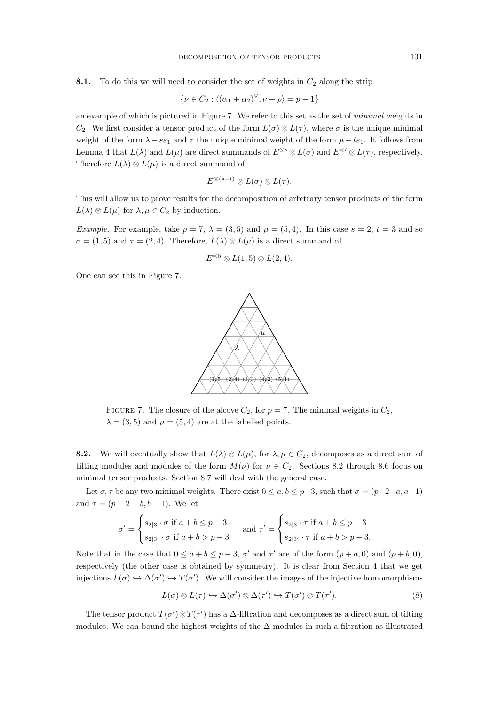8.1. To do this we will need to consider the set of weights in  $C_2$  along the strip

$$
\{\nu \in C_2 : \langle (\alpha_1 + \alpha_2)^\vee, \nu + \rho \rangle = p - 1\}
$$

an example of which is pictured in Figure 7. We refer to this set as the set of *minimal* weights in  $C_2$ . We first consider a tensor product of the form  $L(\sigma) \otimes L(\tau)$ , where  $\sigma$  is the unique minimal weight of the form  $\lambda - s\bar{\epsilon}_1$  and  $\tau$  the unique minimal weight of the form  $\mu - t\bar{\epsilon}_1$ . It follows from Lemma 4 that  $L(\lambda)$  and  $L(\mu)$  are direct summands of  $E^{\otimes s} \otimes L(\sigma)$  and  $E^{\otimes t} \otimes L(\tau)$ , respectively. Therefore  $L(\lambda) \otimes L(\mu)$  is a direct summand of

$$
E^{\otimes (s+t)} \otimes L(\sigma) \otimes L(\tau).
$$

This will allow us to prove results for the decomposition of arbitrary tensor products of the form  $L(\lambda) \otimes L(\mu)$  for  $\lambda, \mu \in C_2$  by induction.

*Example.* For example, take  $p = 7$ ,  $\lambda = (3, 5)$  and  $\mu = (5, 4)$ . In this case  $s = 2$ ,  $t = 3$  and so  $\sigma = (1, 5)$  and  $\tau = (2, 4)$ . Therefore,  $L(\lambda) \otimes L(\mu)$  is a direct summand of

$$
E^{\otimes 5} \otimes L(1,5) \otimes L(2,4).
$$

One can see this in Figure 7.



FIGURE 7. The closure of the alcove  $C_2$ , for  $p = 7$ . The minimal weights in  $C_2$ ,  $\lambda = (3, 5)$  and  $\mu = (5, 4)$  are at the labelled points.

**8.2.** We will eventually show that  $L(\lambda) \otimes L(\mu)$ , for  $\lambda, \mu \in C_2$ , decomposes as a direct sum of tilting modules and modules of the form  $M(\nu)$  for  $\nu \in C_2$ . Sections 8.2 through 8.6 focus on minimal tensor products. Section 8.7 will deal with the general case.

Let  $\sigma$ ,  $\tau$  be any two minimal weights. There exist  $0 \le a, b \le p-3$ , such that  $\sigma = (p-2-a, a+1)$ and  $\tau = (p - 2 - b, b + 1)$ . We let

$$
\sigma' = \begin{cases} s_{2|3} \cdot \sigma \text{ if } a+b \le p-3 \\ s_{2|3'} \cdot \sigma \text{ if } a+b > p-3 \end{cases} \text{ and } \tau' = \begin{cases} s_{2|3} \cdot \tau \text{ if } a+b \le p-3 \\ s_{2|3'} \cdot \tau \text{ if } a+b > p-3. \end{cases}
$$

Note that in the case that  $0 \le a + b \le p - 3$ ,  $\sigma'$  and  $\tau'$  are of the form  $(p + a, 0)$  and  $(p + b, 0)$ , respectively (the other case is obtained by symmetry). It is clear from Section 4 that we get injections  $L(\sigma) \hookrightarrow \Delta(\sigma') \hookrightarrow T(\sigma')$ . We will consider the images of the injective homomorphisms

$$
L(\sigma) \otimes L(\tau) \hookrightarrow \Delta(\sigma') \otimes \Delta(\tau') \hookrightarrow T(\sigma') \otimes T(\tau'). \tag{8}
$$

The tensor product  $T(\sigma') \otimes T(\tau')$  has a  $\Delta$ -filtration and decomposes as a direct sum of tilting modules. We can bound the highest weights of the ∆-modules in such a filtration as illustrated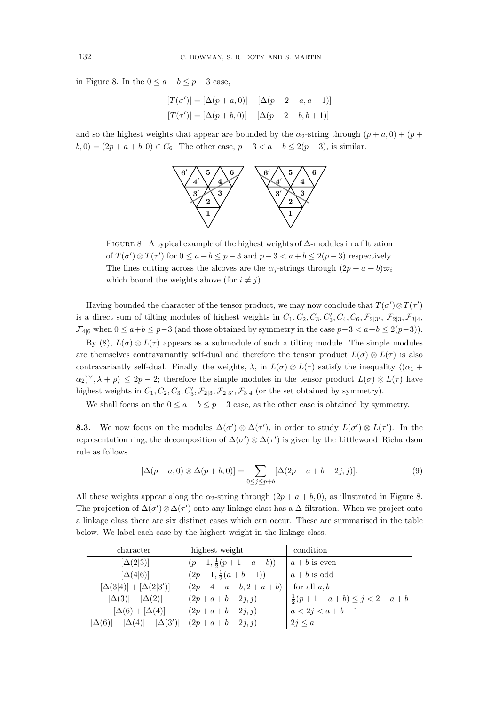in Figure 8. In the  $0 \le a + b \le p - 3$  case,

$$
[T(\sigma')] = [\Delta(p+a, 0)] + [\Delta(p-2-a, a+1)]
$$
  

$$
[T(\tau')] = [\Delta(p+b, 0)] + [\Delta(p-2-b, b+1)]
$$

and so the highest weights that appear are bounded by the  $\alpha_2$ -string through  $(p + a, 0) + (p + a, 0)$  $b, 0) = (2p + a + b, 0) \in C_6$ . The other case,  $p - 3 < a + b \leq 2(p - 3)$ , is similar.



Figure 8. A typical example of the highest weights of ∆-modules in a filtration of  $T(\sigma') \otimes T(\tau')$  for  $0 \le a + b \le p - 3$  and  $p - 3 < a + b \le 2(p - 3)$  respectively. The lines cutting across the alcoves are the  $\alpha_i$ -strings through  $(2p + a + b)\overline{\omega}_i$ which bound the weights above (for  $i \neq j$ ).

Having bounded the character of the tensor product, we may now conclude that  $T(\sigma') \otimes T(\tau')$ is a direct sum of tilting modules of highest weights in  $C_1, C_2, C_3, C'_3, C_4, C_6, \mathcal{F}_{2|3'}$ ,  $\mathcal{F}_{2|3}, \mathcal{F}_{3|4}$ ,  $\mathcal{F}_{4|6}$  when  $0 \le a+b \le p-3$  (and those obtained by symmetry in the case  $p-3 < a+b \le 2(p-3)$ ).

By (8),  $L(\sigma) \otimes L(\tau)$  appears as a submodule of such a tilting module. The simple modules are themselves contravariantly self-dual and therefore the tensor product  $L(\sigma) \otimes L(\tau)$  is also contravariantly self-dual. Finally, the weights,  $\lambda$ , in  $L(\sigma) \otimes L(\tau)$  satisfy the inequality  $\langle (\alpha_1 + \alpha_2) \cdot \alpha_2 \cdot \alpha_3 \cdot \alpha_4 \cdot \alpha_5 \cdot \alpha_6 \cdot \alpha_7 \cdot \alpha_8 \cdot \alpha_9 \cdot \alpha_1 \cdot \alpha_1 \cdot \alpha_1 \cdot \alpha_1 \cdot \alpha_1 \cdot \alpha_1 \cdot \alpha_1 \cdot \alpha_1 \cdot \alpha_1 \cdot \alpha_1 \cdot \alpha_$  $(\alpha_2)^{\vee}, \lambda + \rho \geq 2p - 2$ ; therefore the simple modules in the tensor product  $L(\sigma) \otimes L(\tau)$  have highest weights in  $C_1, C_2, C_3, C'_3, \mathcal{F}_{2|3}, \mathcal{F}_{2|3'}, \mathcal{F}_{3|4}$  (or the set obtained by symmetry).

We shall focus on the  $0 \le a + b \le p - 3$  case, as the other case is obtained by symmetry.

**8.3.** We now focus on the modules  $\Delta(\sigma') \otimes \Delta(\tau')$ , in order to study  $L(\sigma') \otimes L(\tau')$ . In the representation ring, the decomposition of  $\Delta(\sigma') \otimes \Delta(\tau')$  is given by the Littlewood–Richardson rule as follows

$$
[\Delta(p+a,0) \otimes \Delta(p+b,0)] = \sum_{0 \le j \le p+b} [\Delta(2p+a+b-2j,j)].
$$
\n(9)

All these weights appear along the  $\alpha_2$ -string through  $(2p + a + b, 0)$ , as illustrated in Figure 8. The projection of  $\Delta(\sigma')\otimes\Delta(\tau')$  onto any linkage class has a  $\Delta$ -filtration. When we project onto a linkage class there are six distinct cases which can occur. These are summarised in the table below. We label each case by the highest weight in the linkage class.

| character                                  | highest weight               | condition                             |
|--------------------------------------------|------------------------------|---------------------------------------|
| $[\Delta(2 3)]$                            | $(p-1,\frac{1}{2}(p+1+a+b))$ | $a + b$ is even                       |
| $[\Delta(4 6)]$                            | $(2p-1,\frac{1}{2}(a+b+1))$  | $a + b$ is odd                        |
| $[\Delta(3 4)] + [\Delta(2 3')]$           | $(2p-4-a-b, 2+a+b)$          | for all $a, b$                        |
| $[\Delta(3)] + [\Delta(2)]$                | $(2p+a+b-2j,j)$              | $\frac{1}{2}(p+1+a+b) \leq j < 2+a+b$ |
| $[\Delta(6) + [\Delta(4)]$                 | $(2p + a + b - 2j, j)$       | $a < 2j < a+b+1$                      |
| $[\Delta(6)] + [\Delta(4)] + [\Delta(3')]$ | $(2p + a + b - 2j, j)$       | $2j \leq a$                           |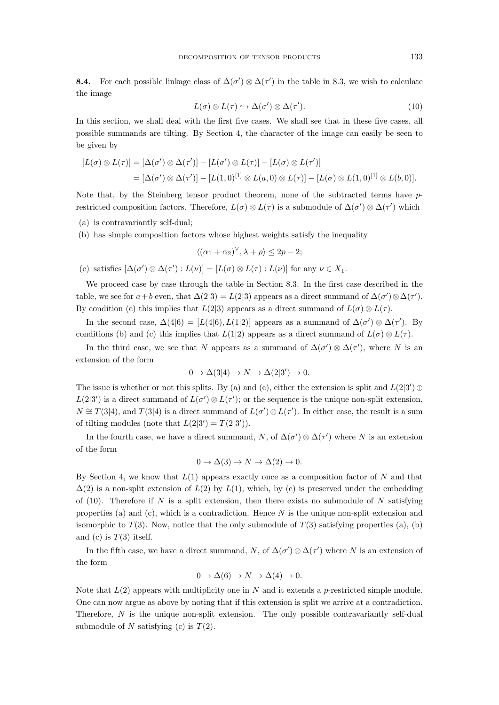**8.4.** For each possible linkage class of  $\Delta(\sigma') \otimes \Delta(\tau')$  in the table in 8.3, we wish to calculate the image

$$
L(\sigma) \otimes L(\tau) \hookrightarrow \Delta(\sigma') \otimes \Delta(\tau'). \tag{10}
$$

In this section, we shall deal with the first five cases. We shall see that in these five cases, all possible summands are tilting. By Section 4, the character of the image can easily be seen to be given by

$$
[L(\sigma) \otimes L(\tau)] = [\Delta(\sigma') \otimes \Delta(\tau')] - [L(\sigma') \otimes L(\tau)] - [L(\sigma) \otimes L(\tau')]
$$
  
=  $[\Delta(\sigma') \otimes \Delta(\tau')] - [L(1,0)^{[1]} \otimes L(a,0) \otimes L(\tau)] - [L(\sigma) \otimes L(1,0)^{[1]} \otimes L(b,0)].$ 

Note that, by the Steinberg tensor product theorem, none of the subtracted terms have prestricted composition factors. Therefore,  $L(\sigma) \otimes L(\tau)$  is a submodule of  $\Delta(\sigma') \otimes \Delta(\tau')$  which

- (a) is contravariantly self-dual;
- (b) has simple composition factors whose highest weights satisfy the inequality

$$
\langle (\alpha_1 + \alpha_2)^\vee, \lambda + \rho \rangle \le 2p - 2;
$$

(c) satisfies  $[\Delta(\sigma') \otimes \Delta(\tau') : L(\nu)] = [L(\sigma) \otimes L(\tau) : L(\nu)]$  for any  $\nu \in X_1$ .

We proceed case by case through the table in Section 8.3. In the first case described in the table, we see for  $a+b$  even, that  $\Delta(2|3) = L(2|3)$  appears as a direct summand of  $\Delta(\sigma') \otimes \Delta(\tau')$ . By condition (c) this implies that  $L(2|3)$  appears as a direct summand of  $L(\sigma) \otimes L(\tau)$ .

In the second case,  $\Delta(4|6) = [L(4|6), L(1|2)]$  appears as a summand of  $\Delta(\sigma') \otimes \Delta(\tau')$ . By conditions (b) and (c) this implies that  $L(1|2)$  appears as a direct summand of  $L(\sigma) \otimes L(\tau)$ .

In the third case, we see that N appears as a summand of  $\Delta(\sigma') \otimes \Delta(\tau')$ , where N is an extension of the form

$$
0 \to \Delta(3|4) \to N \to \Delta(2|3') \to 0.
$$

The issue is whether or not this splits. By (a) and (c), either the extension is split and  $L(2|3') \oplus$  $L(2|3')$  is a direct summand of  $L(\sigma') \otimes L(\tau')$ ; or the sequence is the unique non-split extension,  $N \cong T(3|4)$ , and  $T(3|4)$  is a direct summand of  $L(\sigma') \otimes L(\tau')$ . In either case, the result is a sum of tilting modules (note that  $L(2|3') = T(2|3')$ ).

In the fourth case, we have a direct summand, N, of  $\Delta(\sigma') \otimes \Delta(\tau')$  where N is an extension of the form

$$
0 \to \Delta(3) \to N \to \Delta(2) \to 0.
$$

By Section 4, we know that  $L(1)$  appears exactly once as a composition factor of N and that  $\Delta(2)$  is a non-split extension of  $L(2)$  by  $L(1)$ , which, by (c) is preserved under the embedding of (10). Therefore if N is a split extension, then there exists no submodule of N satisfying properties (a) and (c), which is a contradiction. Hence  $N$  is the unique non-split extension and isomorphic to  $T(3)$ . Now, notice that the only submodule of  $T(3)$  satisfying properties (a), (b) and (c) is  $T(3)$  itself.

In the fifth case, we have a direct summand, N, of  $\Delta(\sigma') \otimes \Delta(\tau')$  where N is an extension of the form

$$
0 \to \Delta(6) \to N \to \Delta(4) \to 0.
$$

Note that  $L(2)$  appears with multiplicity one in N and it extends a p-restricted simple module. One can now argue as above by noting that if this extension is split we arrive at a contradiction. Therefore, N is the unique non-split extension. The only possible contravariantly self-dual submodule of N satisfying (c) is  $T(2)$ .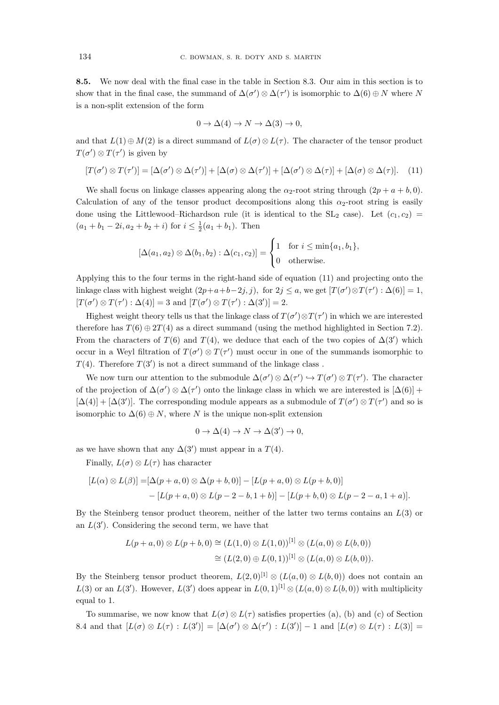8.5. We now deal with the final case in the table in Section 8.3. Our aim in this section is to show that in the final case, the summand of  $\Delta(\sigma') \otimes \Delta(\tau')$  is isomorphic to  $\Delta(6) \oplus N$  where N is a non-split extension of the form

$$
0 \to \Delta(4) \to N \to \Delta(3) \to 0,
$$

and that  $L(1) \oplus M(2)$  is a direct summand of  $L(\sigma) \otimes L(\tau)$ . The character of the tensor product  $T(\sigma') \otimes T(\tau')$  is given by

$$
[T(\sigma') \otimes T(\tau')] = [\Delta(\sigma') \otimes \Delta(\tau')] + [\Delta(\sigma) \otimes \Delta(\tau')] + [\Delta(\sigma') \otimes \Delta(\tau)] + [\Delta(\sigma) \otimes \Delta(\tau)]. \quad (11)
$$

We shall focus on linkage classes appearing along the  $\alpha_2$ -root string through  $(2p + a + b, 0)$ . Calculation of any of the tensor product decompositions along this  $\alpha_2$ -root string is easily done using the Littlewood–Richardson rule (it is identical to the  $SL_2$  case). Let  $(c_1, c_2)$  $(a_1 + b_1 - 2i, a_2 + b_2 + i)$  for  $i \leq \frac{1}{2}(a_1 + b_1)$ . Then

$$
[\Delta(a_1, a_2) \otimes \Delta(b_1, b_2) : \Delta(c_1, c_2)] = \begin{cases} 1 & \text{for } i \leq \min\{a_1, b_1\}, \\ 0 & \text{otherwise.} \end{cases}
$$

Applying this to the four terms in the right-hand side of equation (11) and projecting onto the linkage class with highest weight  $(2p+a+b-2j, j)$ , for  $2j \le a$ , we get  $[T(\sigma') \otimes T(\tau') : \Delta(6)] = 1$ ,  $[T(\sigma') \otimes T(\tau') : \Delta(4)] = 3$  and  $[T(\sigma') \otimes T(\tau') : \Delta(3')] = 2$ .

Highest weight theory tells us that the linkage class of  $T(\sigma') \otimes T(\tau')$  in which we are interested therefore has  $T(6) \oplus 2T(4)$  as a direct summand (using the method highlighted in Section 7.2). From the characters of  $T(6)$  and  $T(4)$ , we deduce that each of the two copies of  $\Delta(3')$  which occur in a Weyl filtration of  $T(\sigma') \otimes T(\tau')$  must occur in one of the summands isomorphic to  $T(4)$ . Therefore  $T(3')$  is not a direct summand of the linkage class.

We now turn our attention to the submodule  $\Delta(\sigma') \otimes \Delta(\tau') \hookrightarrow T(\sigma') \otimes T(\tau')$ . The character of the projection of  $\Delta(\sigma') \otimes \Delta(\tau')$  onto the linkage class in which we are interested is  $[\Delta(6)]$  +  $[\Delta(4)] + [\Delta(3')]$ . The corresponding module appears as a submodule of  $T(\sigma') \otimes T(\tau')$  and so is isomorphic to  $\Delta(6) \oplus N$ , where N is the unique non-split extension

$$
0 \to \Delta(4) \to N \to \Delta(3') \to 0,
$$

as we have shown that any  $\Delta(3')$  must appear in a  $T(4)$ .

Finally,  $L(\sigma) \otimes L(\tau)$  has character

$$
[L(\alpha) \otimes L(\beta)] = [\Delta(p+a,0) \otimes \Delta(p+b,0)] - [L(p+a,0) \otimes L(p+b,0)] - [L(p+a,0) \otimes L(p-2-b,1+b)] - [L(p+b,0) \otimes L(p-2-a,1+a)].
$$

By the Steinberg tensor product theorem, neither of the latter two terms contains an  $L(3)$  or an  $L(3')$ . Considering the second term, we have that

$$
L(p+a,0) \otimes L(p+b,0) \cong (L(1,0) \otimes L(1,0))^{[1]} \otimes (L(a,0) \otimes L(b,0))
$$
  

$$
\cong (L(2,0) \oplus L(0,1))^{[1]} \otimes (L(a,0) \otimes L(b,0)).
$$

By the Steinberg tensor product theorem,  $L(2,0)^{[1]} \otimes (L(a,0) \otimes L(b,0))$  does not contain an  $L(3)$  or an  $L(3')$ . However,  $L(3')$  does appear in  $L(0,1)^{[1]} \otimes (L(a,0) \otimes L(b,0))$  with multiplicity equal to 1.

To summarise, we now know that  $L(\sigma) \otimes L(\tau)$  satisfies properties (a), (b) and (c) of Section 8.4 and that  $[L(\sigma) \otimes L(\tau) : L(3')] = [\Delta(\sigma') \otimes \Delta(\tau') : L(3')] - 1$  and  $[L(\sigma) \otimes L(\tau) : L(3)] =$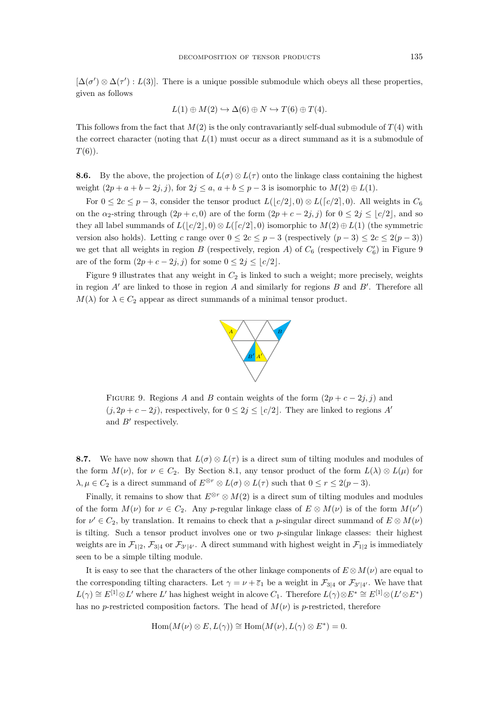$[\Delta(\sigma') \otimes \Delta(\tau') : L(3)]$ . There is a unique possible submodule which obeys all these properties, given as follows

$$
L(1) \oplus M(2) \hookrightarrow \Delta(6) \oplus N \hookrightarrow T(6) \oplus T(4).
$$

This follows from the fact that  $M(2)$  is the only contravariantly self-dual submodule of  $T(4)$  with the correct character (noting that  $L(1)$  must occur as a direct summand as it is a submodule of  $T(6)$ .

**8.6.** By the above, the projection of  $L(\sigma) \otimes L(\tau)$  onto the linkage class containing the highest weight  $(2p + a + b - 2j, j)$ , for  $2j \le a, a + b \le p - 3$  is isomorphic to  $M(2) \oplus L(1)$ .

For  $0 \leq 2c \leq p-3$ , consider the tensor product  $L(|c/2|,0) \otimes L([c/2],0)$ . All weights in  $C_6$ on the  $\alpha_2$ -string through  $(2p + c, 0)$  are of the form  $(2p + c - 2j, j)$  for  $0 \leq 2j \leq |c/2|$ , and so they all label summands of  $L(|c/2|,0) \otimes L([c/2],0)$  isomorphic to  $M(2) \oplus L(1)$  (the symmetric version also holds). Letting c range over  $0 \leq 2c \leq p-3$  (respectively  $(p-3) \leq 2c \leq 2(p-3)$ ) we get that all weights in region  $B$  (respectively, region  $A$ ) of  $C_6$  (respectively  $C'_6$ ) in Figure 9 are of the form  $(2p + c - 2j, j)$  for some  $0 \leq 2j \leq |c/2|$ .

Figure 9 illustrates that any weight in  $C_2$  is linked to such a weight; more precisely, weights in region  $A'$  are linked to those in region  $A$  and similarly for regions  $B$  and  $B'$ . Therefore all  $M(\lambda)$  for  $\lambda \in C_2$  appear as direct summands of a minimal tensor product.



FIGURE 9. Regions A and B contain weights of the form  $(2p + c - 2j, j)$  and  $(j, 2p + c - 2j)$ , respectively, for  $0 \leq 2j \leq |c/2|$ . They are linked to regions A' and B′ respectively.

8.7. We have now shown that  $L(\sigma) \otimes L(\tau)$  is a direct sum of tilting modules and modules of the form  $M(\nu)$ , for  $\nu \in C_2$ . By Section 8.1, any tensor product of the form  $L(\lambda) \otimes L(\mu)$  for  $\lambda, \mu \in C_2$  is a direct summand of  $E^{\otimes r} \otimes L(\sigma) \otimes L(\tau)$  such that  $0 \le r \le 2(p-3)$ .

Finally, it remains to show that  $E^{\otimes r} \otimes M(2)$  is a direct sum of tilting modules and modules of the form  $M(\nu)$  for  $\nu \in C_2$ . Any p-regular linkage class of  $E \otimes M(\nu)$  is of the form  $M(\nu')$ for  $\nu' \in C_2$ , by translation. It remains to check that a p-singular direct summand of  $E \otimes M(\nu)$ is tilting. Such a tensor product involves one or two  $p$ -singular linkage classes: their highest weights are in  $\mathcal{F}_{1|2}$ ,  $\mathcal{F}_{3|4}$  or  $\mathcal{F}_{3'|4'}$ . A direct summand with highest weight in  $\mathcal{F}_{1|2}$  is immediately seen to be a simple tilting module.

It is easy to see that the characters of the other linkage components of  $E \otimes M(\nu)$  are equal to the corresponding tilting characters. Let  $\gamma = \nu + \overline{\varepsilon}_1$  be a weight in  $\mathcal{F}_{3|4}$  or  $\mathcal{F}_{3'|4'}$ . We have that  $L(\gamma) \cong E^{[1]} \otimes L'$  where  $L'$  has highest weight in alcove  $C_1$ . Therefore  $L(\gamma) \otimes E^* \cong E^{[1]} \otimes (L' \otimes E^*)$ has no p-restricted composition factors. The head of  $M(\nu)$  is p-restricted, therefore

$$
Hom(M(\nu) \otimes E, L(\gamma)) \cong Hom(M(\nu), L(\gamma) \otimes E^*) = 0.
$$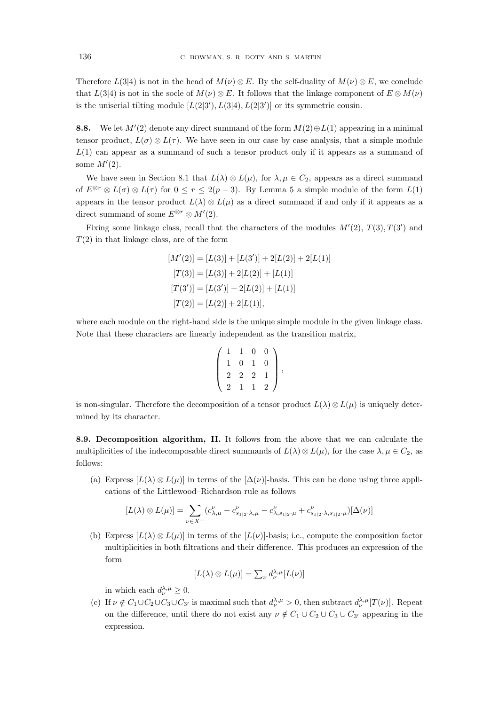Therefore  $L(3|4)$  is not in the head of  $M(\nu) \otimes E$ . By the self-duality of  $M(\nu) \otimes E$ , we conclude that  $L(3|4)$  is not in the socle of  $M(\nu) \otimes E$ . It follows that the linkage component of  $E \otimes M(\nu)$ is the uniserial tilting module  $[L(2|3'), L(3|4), L(2|3')]$  or its symmetric cousin.

**8.8.** We let  $M'(2)$  denote any direct summand of the form  $M(2) \oplus L(1)$  appearing in a minimal tensor product,  $L(\sigma) \otimes L(\tau)$ . We have seen in our case by case analysis, that a simple module  $L(1)$  can appear as a summand of such a tensor product only if it appears as a summand of some  $M'(2)$ .

We have seen in Section 8.1 that  $L(\lambda) \otimes L(\mu)$ , for  $\lambda, \mu \in C_2$ , appears as a direct summand of  $E^{\otimes r} \otimes L(\sigma) \otimes L(\tau)$  for  $0 \le r \le 2(p-3)$ . By Lemma 5 a simple module of the form  $L(1)$ appears in the tensor product  $L(\lambda) \otimes L(\mu)$  as a direct summand if and only if it appears as a direct summand of some  $E^{\otimes r} \otimes M'(2)$ .

Fixing some linkage class, recall that the characters of the modules  $M'(2)$ ,  $T(3)$ ,  $T(3')$  and  $T(2)$  in that linkage class, are of the form

$$
[M'(2)] = [L(3)] + [L(3')] + 2[L(2)] + 2[L(1)]
$$

$$
[T(3)] = [L(3)] + 2[L(2)] + [L(1)]
$$

$$
[T(3')] = [L(3')] + 2[L(2)] + [L(1)]
$$

$$
[T(2)] = [L(2)] + 2[L(1)],
$$

where each module on the right-hand side is the unique simple module in the given linkage class. Note that these characters are linearly independent as the transition matrix,

$$
\left(\begin{array}{rrrr}1 & 1 & 0 & 0 \\1 & 0 & 1 & 0 \\2 & 2 & 2 & 1 \\2 & 1 & 1 & 2\end{array}\right),
$$

is non-singular. Therefore the decomposition of a tensor product  $L(\lambda) \otimes L(\mu)$  is uniquely determined by its character.

8.9. Decomposition algorithm, II. It follows from the above that we can calculate the multiplicities of the indecomposable direct summands of  $L(\lambda) \otimes L(\mu)$ , for the case  $\lambda, \mu \in C_2$ , as follows:

(a) Express  $[L(\lambda) \otimes L(\mu)]$  in terms of the  $[\Delta(\nu)]$ -basis. This can be done using three applications of the Littlewood–Richardson rule as follows

$$
[L(\lambda) \otimes L(\mu)] = \sum_{\nu \in X^+} (c_{\lambda,\mu}^{\nu} - c_{s_{1|2},\lambda,\mu}^{\nu} - c_{\lambda,s_{1|2},\mu}^{\nu} + c_{s_{1|2},\lambda,s_{1|2},\mu}^{\nu})[\Delta(\nu)]
$$

(b) Express  $[L(\lambda) \otimes L(\mu)]$  in terms of the  $[L(\nu)]$ -basis; i.e., compute the composition factor multiplicities in both filtrations and their difference. This produces an expression of the form

$$
[L(\lambda) \otimes L(\mu)] = \sum_{\nu} d_{\nu}^{\lambda,\mu} [L(\nu)]
$$

in which each  $d_{\nu}^{\lambda,\mu} \geq 0$ .

(c) If  $\nu \notin C_1 \cup C_2 \cup C_3 \cup C_{3'}$  is maximal such that  $d_{\nu}^{\lambda,\mu} > 0$ , then subtract  $d_{\nu}^{\lambda,\mu}[T(\nu)]$ . Repeat on the difference, until there do not exist any  $\nu \notin C_1 \cup C_2 \cup C_3 \cup C_{3'}$  appearing in the expression.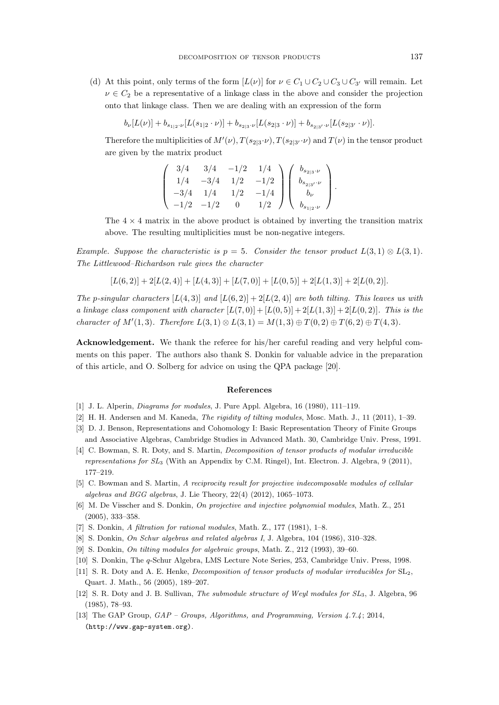(d) At this point, only terms of the form  $[L(\nu)]$  for  $\nu \in C_1 \cup C_2 \cup C_3 \cup C_3$  will remain. Let  $\nu \in C_2$  be a representative of a linkage class in the above and consider the projection onto that linkage class. Then we are dealing with an expression of the form

 $b_{\nu}[L(\nu)] + b_{s_{1|2}\cdots}\left[L(s_{1|2}\cdot\nu)\right] + b_{s_{2|3}\cdots}\left[L(s_{2|3}\cdot\nu)\right] + b_{s_{2|3'\cdots}\nu}\left[L(s_{2|3'}\cdot\nu)\right]$ 

Therefore the multiplicities of  $M'(\nu)$ ,  $T(s_{2|3}\cdot\nu)$ ,  $T(s_{2|3}\cdot\nu)$  and  $T(\nu)$  in the tensor product are given by the matrix product

$$
\begin{pmatrix}\n3/4 & 3/4 & -1/2 & 1/4 \\
1/4 & -3/4 & 1/2 & -1/2 \\
-3/4 & 1/4 & 1/2 & -1/4 \\
-1/2 & -1/2 & 0 & 1/2\n\end{pmatrix}\n\begin{pmatrix}\nb_{s_{2|3}\cdot\nu} \\
b_{s_{2|3}\cdot\nu} \\
b_{\nu} \\
b_{s_{1|2}\cdot\nu}\n\end{pmatrix}.
$$

The  $4 \times 4$  matrix in the above product is obtained by inverting the transition matrix above. The resulting multiplicities must be non-negative integers.

*Example. Suppose the characteristic is*  $p = 5$ *. Consider the tensor product*  $L(3,1) \otimes L(3,1)$ *. The Littlewood–Richardson rule gives the character*

$$
[L(6,2)] + 2[L(2,4)] + [L(4,3)] + [L(7,0)] + [L(0,5)] + 2[L(1,3)] + 2[L(0,2)].
$$

*The* p-singular characters  $[L(4,3)]$  and  $[L(6,2)] + 2[L(2,4)]$  are both tilting. This leaves us with *a linkage class component with character*  $[L(7,0)] + [L(0,5)] + 2[L(1,3)] + 2[L(0,2)]$ *. This is the character of*  $M'(1,3)$ *. Therefore*  $L(3,1) \otimes L(3,1) = M(1,3) \oplus T(0,2) \oplus T(6,2) \oplus T(4,3)$ *.* 

Acknowledgement. We thank the referee for his/her careful reading and very helpful comments on this paper. The authors also thank S. Donkin for valuable advice in the preparation of this article, and O. Solberg for advice on using the QPA package [20].

#### References

- [1] J. L. Alperin, Diagrams for modules, J. Pure Appl. Algebra, 16 (1980), 111–119.
- [2] H. H. Andersen and M. Kaneda, The rigidity of tilting modules, Mosc. Math. J., 11 (2011), 1–39.
- [3] D. J. Benson, Representations and Cohomology I: Basic Representation Theory of Finite Groups and Associative Algebras, Cambridge Studies in Advanced Math. 30, Cambridge Univ. Press, 1991.
- [4] C. Bowman, S. R. Doty, and S. Martin, *Decomposition of tensor products of modular irreducible* representations for SL<sup>3</sup> (With an Appendix by C.M. Ringel), Int. Electron. J. Algebra, 9 (2011), 177–219.
- [5] C. Bowman and S. Martin, A reciprocity result for projective indecomposable modules of cellular algebras and BGG algebras, J. Lie Theory, 22(4) (2012), 1065–1073.
- [6] M. De Visscher and S. Donkin, On projective and injective polynomial modules, Math. Z., 251 (2005), 333–358.
- [7] S. Donkin, A filtration for rational modules, Math. Z., 177 (1981), 1–8.
- [8] S. Donkin, On Schur algebras and related algebras I, J. Algebra, 104 (1986), 310–328.
- [9] S. Donkin, On tilting modules for algebraic groups, Math. Z., 212 (1993), 39–60.
- [10] S. Donkin, The q-Schur Algebra, LMS Lecture Note Series, 253, Cambridge Univ. Press, 1998.
- [11] S. R. Doty and A. E. Henke, *Decomposition of tensor products of modular irreducibles for*  $SL_2$ , Quart. J. Math., 56 (2005), 189–207.
- [12] S. R. Doty and J. B. Sullivan, The submodule structure of Weyl modules for  $SL_3$ , J. Algebra, 96 (1985), 78–93.
- [13] The GAP Group, GAP Groups, Algorithms, and Programming, Version 4.7.4 ; 2014, (http://www.gap-system.org).